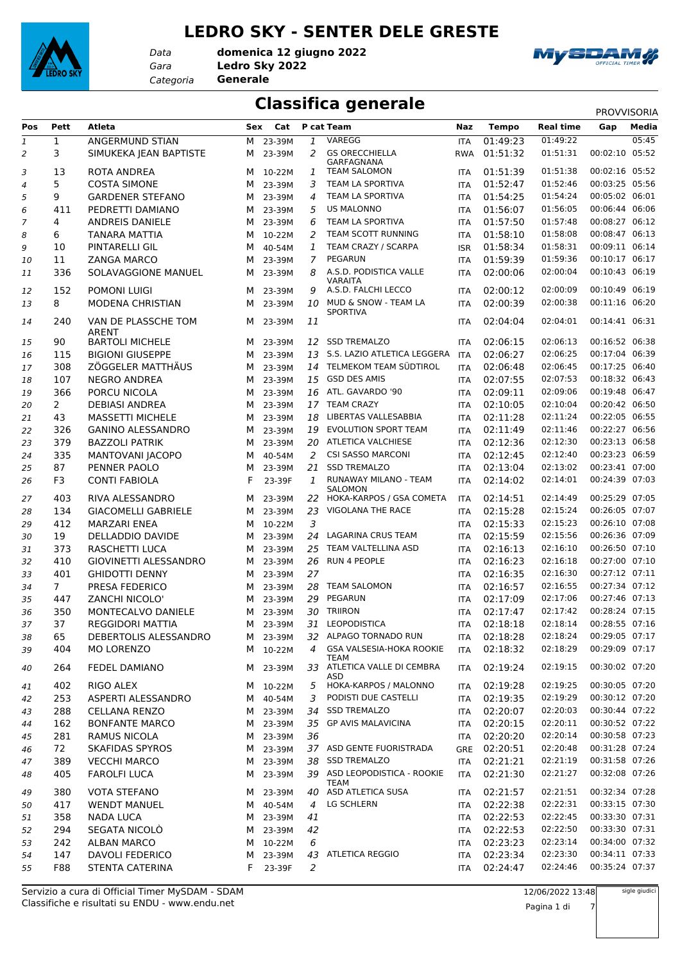

#### **LEDRO SKY - SENTER DELE GRESTE**

*Data*

*Gara* **Ledro Sky 2022** *Categoria* **Generale domenica 12 giugno 2022**



# **Classifica generale** PROVVISORIA

| Pos            | Pett           | Atleta                          | Sex | Cat      |                | P cat Team                              | Naz        | <b>Tempo</b> | <b>Real time</b> | Gap            | Media |
|----------------|----------------|---------------------------------|-----|----------|----------------|-----------------------------------------|------------|--------------|------------------|----------------|-------|
| 1              | $\mathbf{1}$   | ANGERMUND STIAN                 | М   | 23-39M   | 1              | VAREGG                                  | <b>ITA</b> | 01:49:23     | 01:49:22         |                | 05:45 |
| 2              | 3              | SIMUKEKA JEAN BAPTISTE          | м   | 23-39M   | 2              | <b>GS ORECCHIELLA</b>                   | <b>RWA</b> | 01:51:32     | 01:51:31         | 00:02:10       | 05:52 |
|                |                |                                 |     |          |                | GARFAGNANA                              |            |              |                  |                |       |
| 3              | 13             | ROTA ANDREA                     | м   | 10-22M   | 1              | <b>TEAM SALOMON</b>                     | <b>ITA</b> | 01:51:39     | 01:51:38         | 00:02:16 05:52 |       |
| $\overline{a}$ | 5              | <b>COSTA SIMONE</b>             | м   | 23-39M   | 3              | <b>TEAM LA SPORTIVA</b>                 | ITA        | 01:52:47     | 01:52:46         | 00:03:25 05:56 |       |
| 5              | 9              | <b>GARDENER STEFANO</b>         | М   | 23-39M   | 4              | TEAM LA SPORTIVA                        | ITA        | 01:54:25     | 01:54:24         | 00:05:02 06:01 |       |
| 6              | 411            | PEDRETTI DAMIANO                | м   | 23-39M   | 5              | <b>US MALONNO</b>                       | <b>ITA</b> | 01:56:07     | 01:56:05         | 00:06:44 06:06 |       |
| $\overline{7}$ | 4              | ANDREIS DANIELE                 | м   | 23-39M   | 6              | TEAM LA SPORTIVA                        | <b>ITA</b> | 01:57:50     | 01:57:48         | 00:08:27 06:12 |       |
| 8              | 6              | TANARA MATTIA                   | м   | 10-22M   | 2              | TEAM SCOTT RUNNING                      | <b>ITA</b> | 01:58:10     | 01:58:08         | 00:08:47 06:13 |       |
| 9              | 10             | <b>PINTARELLI GIL</b>           | м   | 40-54M   | 1              | TEAM CRAZY / SCARPA                     | <b>ISR</b> | 01:58:34     | 01:58:31         | 00:09:11 06:14 |       |
| 10             | 11             | <b>ZANGA MARCO</b>              | м   | 23-39M   | $\overline{7}$ | <b>PEGARUN</b>                          | <b>ITA</b> | 01:59:39     | 01:59:36         | 00:10:17 06:17 |       |
| 11             | 336            | SOLAVAGGIONE MANUEL             | м   | 23-39M   | 8              | A.S.D. PODISTICA VALLE                  | <b>ITA</b> | 02:00:06     | 02:00:04         | 00:10:43 06:19 |       |
| 12             | 152            | POMONI LUIGI                    | м   | 23-39M   | 9              | <b>VARAITA</b><br>A.S.D. FALCHI LECCO   | <b>ITA</b> | 02:00:12     | 02:00:09         | 00:10:49 06:19 |       |
| 13             | 8              | <b>MODENA CHRISTIAN</b>         | м   | 23-39M   | 10             | MUD & SNOW - TEAM LA                    | <b>ITA</b> | 02:00:39     | 02:00:38         | 00:11:16 06:20 |       |
|                |                |                                 |     |          |                | <b>SPORTIVA</b>                         |            |              |                  |                |       |
| 14             | 240            | VAN DE PLASSCHE TOM             | м   | 23-39M   | 11             |                                         | ITA        | 02:04:04     | 02:04:01         | 00:14:41 06:31 |       |
|                | 90             | ARENT<br><b>BARTOLI MICHELE</b> |     |          |                | <b>SSD TREMALZO</b>                     |            | 02:06:15     | 02:06:13         | 00:16:52 06:38 |       |
| 15             |                |                                 | м   | 23-39M   | 12             | S.S. LAZIO ATLETICA LEGGERA             | <b>ITA</b> |              | 02:06:25         | 00:17:04 06:39 |       |
| 16             | 115            | <b>BIGIONI GIUSEPPE</b>         | м   | 23-39M   | 13             | 14 TELMEKOM TEAM SÜDTIROL               | ITA        | 02:06:27     |                  | 00:17:25 06:40 |       |
| 17             | 308            | ZÖGGELER MATTHÄUS               | м   | 23-39M   |                |                                         | <b>ITA</b> | 02:06:48     | 02:06:45         |                |       |
| 18             | 107            | <b>NEGRO ANDREA</b>             | м   | 23-39M   |                | 15 GSD DES AMIS                         | ITA        | 02:07:55     | 02:07:53         | 00:18:32 06:43 |       |
| 19             | 366            | PORCU NICOLA                    | м   | 23-39M   | 16             | ATL. GAVARDO '90                        | ITA        | 02:09:11     | 02:09:06         | 00:19:48 06:47 |       |
| 20             | $\overline{2}$ | <b>DEBIASI ANDREA</b>           | м   | 23-39M   |                | 17 TEAM CRAZY                           | <b>ITA</b> | 02:10:05     | 02:10:04         | 00:20:42 06:50 |       |
| 21             | 43             | <b>MASSETTI MICHELE</b>         | м   | 23-39M   | 18             | LIBERTAS VALLESABBIA                    | ITA        | 02:11:28     | 02:11:24         | 00:22:05 06:55 |       |
| 22             | 326            | <b>GANINO ALESSANDRO</b>        | М   | 23-39M   | 19             | EVOLUTION SPORT TEAM                    | ITA        | 02:11:49     | 02:11:46         | 00:22:27 06:56 |       |
| 23             | 379            | <b>BAZZOLI PATRIK</b>           | м   | 23-39M   | 20             | <b>ATLETICA VALCHIESE</b>               | <b>ITA</b> | 02:12:36     | 02:12:30         | 00:23:13 06:58 |       |
| 24             | 335            | MANTOVANI JACOPO                | м   | 40-54M   | $\overline{2}$ | <b>CSI SASSO MARCONI</b>                | <b>ITA</b> | 02:12:45     | 02:12:40         | 00:23:23 06:59 |       |
| 25             | 87             | PENNER PAOLO                    | м   | 23-39M   | 21             | <b>SSD TREMALZO</b>                     | <b>ITA</b> | 02:13:04     | 02:13:02         | 00:23:41 07:00 |       |
| 26             | F3             | <b>CONTI FABIOLA</b>            | F   | 23-39F   | 1              | RUNAWAY MILANO - TEAM<br><b>SALOMON</b> | <b>ITA</b> | 02:14:02     | 02:14:01         | 00:24:39 07:03 |       |
| 27             | 403            | RIVA ALESSANDRO                 | м   | 23-39M   | 22             | HOKA-KARPOS / GSA COMETA                | <b>ITA</b> | 02:14:51     | 02:14:49         | 00:25:29 07:05 |       |
| 28             | 134            | <b>GIACOMELLI GABRIELE</b>      | м   | 23-39M   | 23             | VIGOLANA THE RACE                       | <b>ITA</b> | 02:15:28     | 02:15:24         | 00:26:05 07:07 |       |
| 29             | 412            | <b>MARZARI ENEA</b>             | м   | 10-22M   | 3              |                                         | ITA        | 02:15:33     | 02:15:23         | 00:26:10 07:08 |       |
| 30             | 19             | DELLADDIO DAVIDE                | м   | 23-39M   | 24             | LAGARINA CRUS TEAM                      | <b>ITA</b> | 02:15:59     | 02:15:56         | 00:26:36 07:09 |       |
| 31             | 373            | <b>RASCHETTI LUCA</b>           | м   | 23-39M   | 25             | TEAM VALTELLINA ASD                     | <b>ITA</b> | 02:16:13     | 02:16:10         | 00:26:50 07:10 |       |
| 32             | 410            | <b>GIOVINETTI ALESSANDRO</b>    | м   | 23-39M   | 26             | RUN 4 PEOPLE                            | ITA        | 02:16:23     | 02:16:18         | 00:27:00 07:10 |       |
| 33             | 401            | <b>GHIDOTTI DENNY</b>           | м   | 23-39M   | 27             |                                         | ITA        | 02:16:35     | 02:16:30         | 00:27:12 07:11 |       |
| 34             | 7 <sup>7</sup> | PRESA FEDERICO                  | м   | 23-39M   | 28             | <b>TEAM SALOMON</b>                     | <b>ITA</b> | 02:16:57     | 02:16:55         | 00:27:34 07:12 |       |
| 35             | 447            | <b>ZANCHI NICOLO'</b>           | м   | 23-39M   | 29             | PEGARUN                                 | <b>ITA</b> | 02:17:09     | 02:17:06         | 00:27:46 07:13 |       |
| 36             | 350            | MONTECALVO DANIELE              | м   | 23-39M   | 30             | <b>TRIIRON</b>                          | <b>ITA</b> | 02:17:47     | 02:17:42         | 00:28:24 07:15 |       |
| 37             | 37             | <b>REGGIDORI MATTIA</b>         | м   | 23-39M   |                | 31 LEOPODISTICA                         | <b>ITA</b> | 02:18:18     | 02:18:14         | 00:28:55 07:16 |       |
| 38             | 65             | DEBERTOLIS ALESSANDRO           |     | M 23-39M |                | 32 ALPAGO TORNADO RUN                   | ITA        | 02:18:28     | 02:18:24         | 00:29:05 07:17 |       |
| 39             | 404            | MO LORENZO                      | M   | 10-22M   | 4              | <b>GSA VALSESIA-HOKA ROOKIE</b>         | ITA        | 02:18:32     | 02:18:29         | 00:29:09 07:17 |       |
|                |                |                                 |     |          |                | TEAM                                    |            |              |                  |                |       |
| 40             | 264            | <b>FEDEL DAMIANO</b>            |     | M 23-39M |                | 33 ATLETICA VALLE DI CEMBRA             | ITA        | 02:19:24     | 02:19:15         | 00:30:02 07:20 |       |
| 41             | 402            | RIGO ALEX                       | M   | 10-22M   | 5              | ASD<br>HOKA-KARPOS / MALONNO            | ITA        | 02:19:28     | 02:19:25         | 00:30:05 07:20 |       |
| 42             | 253            | ASPERTI ALESSANDRO              | M   | 40-54M   | 3              | PODISTI DUE CASTELLI                    | ITA        | 02:19:35     | 02:19:29         | 00:30:12 07:20 |       |
| 43             | 288            | <b>CELLANA RENZO</b>            | M   | 23-39M   |                | 34 SSD TREMALZO                         | ITA        | 02:20:07     | 02:20:03         | 00:30:44 07:22 |       |
| 44             | 162            | <b>BONFANTE MARCO</b>           | м   | 23-39M   |                | 35 GP AVIS MALAVICINA                   | ITA        | 02:20:15     | 02:20:11         | 00:30:52 07:22 |       |
| 45             | 281            | <b>RAMUS NICOLA</b>             | M   | 23-39M   | 36             |                                         | ITA        | 02:20:20     | 02:20:14         | 00:30:58 07:23 |       |
| 46             | 72             | <b>SKAFIDAS SPYROS</b>          | M   | 23-39M   |                | 37 ASD GENTE FUORISTRADA                | GRE        | 02:20:51     | 02:20:48         | 00:31:28 07:24 |       |
| 47             | 389            | <b>VECCHI MARCO</b>             | M   | 23-39M   |                | 38 SSD TREMALZO                         | ITA        | 02:21:21     | 02:21:19         | 00:31:58 07:26 |       |
|                | 405            | <b>FAROLFI LUCA</b>             | м   | 23-39M   |                | 39 ASD LEOPODISTICA - ROOKIE            | <b>ITA</b> | 02:21:30     | 02:21:27         | 00:32:08 07:26 |       |
| 48             |                |                                 |     |          |                | TEAM                                    |            |              |                  |                |       |
| 49             | 380            | <b>VOTA STEFANO</b>             | M   | 23-39M   |                | 40 ASD ATLETICA SUSA                    | ITA        | 02:21:57     | 02:21:51         | 00:32:34 07:28 |       |
| 50             | 417            | <b>WENDT MANUEL</b>             | М   | 40-54M   | 4              | LG SCHLERN                              | ITA        | 02:22:38     | 02:22:31         | 00:33:15 07:30 |       |
| 51             | 358            | <b>NADA LUCA</b>                | M   | 23-39M   | 41             |                                         | <b>ITA</b> | 02:22:53     | 02:22:45         | 00:33:30 07:31 |       |
| 52             | 294            | SEGATA NICOLÒ                   | M   | 23-39M   | 42             |                                         | ITA        | 02:22:53     | 02:22:50         | 00:33:30 07:31 |       |
| 53             | 242            | <b>ALBAN MARCO</b>              | м   | 10-22M   | 6              |                                         | ITA        | 02:23:23     | 02:23:14         | 00:34:00 07:32 |       |
| 54             | 147            | <b>DAVOLI FEDERICO</b>          | м   | 23-39M   |                | 43 ATLETICA REGGIO                      | ITA        | 02:23:34     | 02:23:30         | 00:34:11 07:33 |       |
| 55             | F88            | STENTA CATERINA                 | F.  | 23-39F   | 2              |                                         | ITA        | 02:24:47     | 02:24:46         | 00:35:24 07:37 |       |
|                |                |                                 |     |          |                |                                         |            |              |                  |                |       |

sigle giudici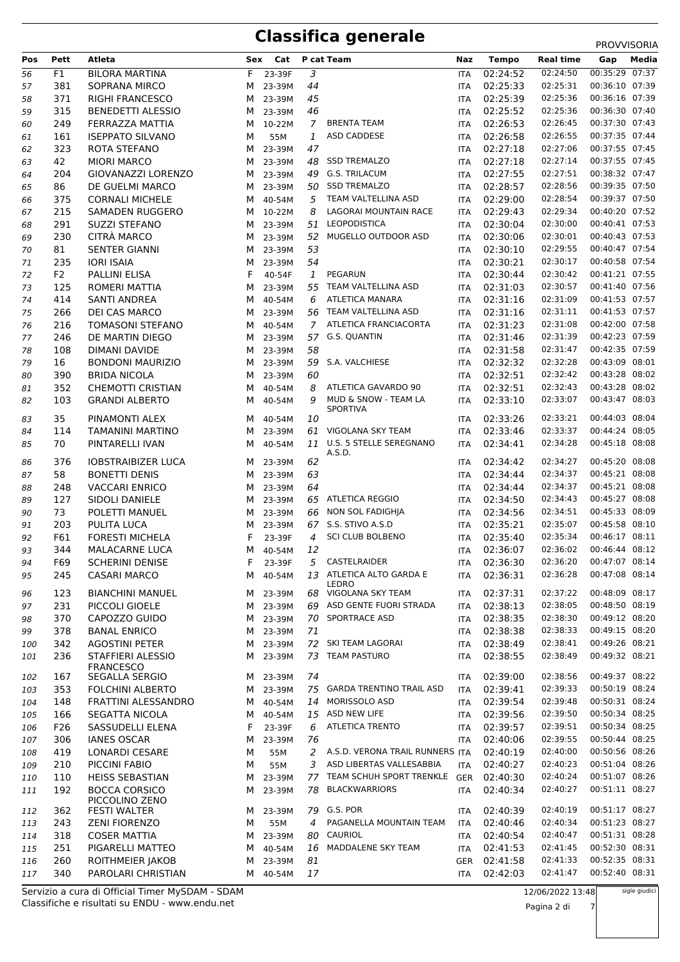### **Classifica generale** PROVISORIA

|     |                |                                       |   |         |                |                                         |            |              |                  | <b>PROVVISORIA</b> |
|-----|----------------|---------------------------------------|---|---------|----------------|-----------------------------------------|------------|--------------|------------------|--------------------|
| Pos | Pett           | Atleta                                |   | Sex Cat |                | P cat Team                              | Naz        | <b>Tempo</b> | <b>Real time</b> | Gap<br>Media       |
| 56  | F1             | <b>BILORA MARTINA</b>                 | F | 23-39F  | 3              |                                         | <b>ITA</b> | 02:24:52     | 02:24:50         | 00:35:29 07:37     |
| 57  | 381            | SOPRANA MIRCO                         | м | 23-39M  | 44             |                                         | ITA        | 02:25:33     | 02:25:31         | 00:36:10 07:39     |
| 58  | 371            | <b>RIGHI FRANCESCO</b>                | м | 23-39M  | 45             |                                         | ITA        | 02:25:39     | 02:25:36         | 00:36:16 07:39     |
| 59  | 315            | <b>BENEDETTI ALESSIO</b>              | м | 23-39M  | 46             |                                         | ITA        | 02:25:52     | 02:25:36         | 00:36:30 07:40     |
| 60  | 249            | FERRAZZA MATTIA                       | м | 10-22M  | $\overline{7}$ | <b>BRENTA TEAM</b>                      | ITA        | 02:26:53     | 02:26:45         | 00:37:30 07:43     |
| 61  | 161            | <b>ISEPPATO SILVANO</b>               | М | 55M     | 1              | ASD CADDESE                             | ITA        | 02:26:58     | 02:26:55         | 00:37:35 07:44     |
| 62  | 323            | ROTA STEFANO                          | м | 23-39M  | 47             |                                         | ITA        | 02:27:18     | 02:27:06         | 00:37:55 07:45     |
| 63  | 42             | <b>MIORI MARCO</b>                    | м | 23-39M  |                | 48 SSD TREMALZO                         | ITA        | 02:27:18     | 02:27:14         | 00:37:55 07:45     |
| 64  | 204            | GIOVANAZZI LORENZO                    | м | 23-39M  |                | 49 G.S. TRILACUM                        | ITA        | 02:27:55     | 02:27:51         | 00:38:32 07:47     |
| 65  | 86             | DE GUELMI MARCO                       | м | 23-39M  |                | 50 SSD TREMALZO                         | ITA        | 02:28:57     | 02:28:56         | 00:39:35 07:50     |
| 66  | 375            | <b>CORNALI MICHELE</b>                | м | 40-54M  | 5              | TEAM VALTELLINA ASD                     | ITA        | 02:29:00     | 02:28:54         | 00:39:37 07:50     |
| 67  | 215            | SAMADEN RUGGERO                       | м | 10-22M  | 8              | LAGORAI MOUNTAIN RACE                   | ITA        | 02:29:43     | 02:29:34         | 00:40:20 07:52     |
| 68  | 291            | <b>SUZZI STEFANO</b>                  | м | 23-39M  |                | 51 LEOPODISTICA                         | ITA        | 02:30:04     | 02:30:00         | 00:40:41 07:53     |
| 69  | 230            | <b>CITRA MARCO</b>                    | м | 23-39M  | 52             | MUGELLO OUTDOOR ASD                     | ITA        | 02:30:06     | 02:30:01         | 00:40:43 07:53     |
| 70  | 81             | <b>SENTER GIANNI</b>                  | м | 23-39M  | 53             |                                         | ITA        | 02:30:10     | 02:29:55         | 00:40:47 07:54     |
| 71  | 235            | <b>IORI ISAIA</b>                     | м | 23-39M  | 54             |                                         | ITA        | 02:30:21     | 02:30:17         | 00:40:58 07:54     |
| 72  | F <sub>2</sub> | PALLINI ELISA                         | F | 40-54F  | 1              | PEGARUN                                 | ITA        | 02:30:44     | 02:30:42         | 00:41:21 07:55     |
| 73  | 125            | ROMERI MATTIA                         | м | 23-39M  |                | 55 TEAM VALTELLINA ASD                  | ITA        | 02:31:03     | 02:30:57         | 00:41:40 07:56     |
| 74  | 414            | SANTI ANDREA                          | м | 40-54M  | 6              | <b>ATLETICA MANARA</b>                  | ITA        | 02:31:16     | 02:31:09         | 00:41:53 07:57     |
| 75  | 266            | DEI CAS MARCO                         | м | 23-39M  |                | 56 TEAM VALTELLINA ASD                  | ITA        | 02:31:16     | 02:31:11         | 00:41:53 07:57     |
| 76  | 216            | <b>TOMASONI STEFANO</b>               | м | 40-54M  | $\overline{7}$ | ATLETICA FRANCIACORTA                   | ITA        | 02:31:23     | 02:31:08         | 00:42:00 07:58     |
| 77  | 246            | DE MARTIN DIEGO                       | м | 23-39M  |                | 57 G.S. QUANTIN                         | ITA        | 02:31:46     | 02:31:39         | 00:42:23 07:59     |
| 78  | 108            | DIMANI DAVIDE                         | м | 23-39M  | 58             |                                         | ITA        | 02:31:58     | 02:31:47         | 00:42:35 07:59     |
| 79  | 16             | <b>BONDONI MAURIZIO</b>               | м | 23-39M  |                | 59 S.A. VALCHIESE                       | ITA        | 02:32:32     | 02:32:28         | 00:43:09 08:01     |
| 80  | 390            | <b>BRIDA NICOLA</b>                   | м | 23-39M  | 60             |                                         | ITA        | 02:32:51     | 02:32:42         | 00:43:28 08:02     |
| 81  | 352            | <b>CHEMOTTI CRISTIAN</b>              | м | 40-54M  | 8              | ATLETICA GAVARDO 90                     | ITA        | 02:32:51     | 02:32:43         | 00:43:28 08:02     |
| 82  | 103            | <b>GRANDI ALBERTO</b>                 | м | 40-54M  | 9              | MUD & SNOW - TEAM LA<br><b>SPORTIVA</b> | ITA        | 02:33:10     | 02:33:07         | 00:43:47 08:03     |
| 83  | 35             | PINAMONTI ALEX                        | м | 40-54M  | 10             |                                         | ITA        | 02:33:26     | 02:33:21         | 00:44:03 08:04     |
| 84  | 114            | TAMANINI MARTINO                      | м | 23-39M  |                | 61 VIGOLANA SKY TEAM                    | ITA        | 02:33:46     | 02:33:37         | 00:44:24 08:05     |
| 85  | 70             | PINTARELLI IVAN                       | м | 40-54M  |                | 11 U.S. 5 STELLE SEREGNANO<br>A.S.D.    | ITA        | 02:34:41     | 02:34:28         | 00:45:18 08:08     |
| 86  | 376            | <b>IOBSTRAIBIZER LUCA</b>             | м | 23-39M  | 62             |                                         | ITA        | 02:34:42     | 02:34:27         | 00:45:20 08:08     |
| 87  | 58             | <b>BONETTI DENIS</b>                  | м | 23-39M  | 63             |                                         | ITA        | 02:34:44     | 02:34:37         | 00:45:21 08:08     |
| 88  | 248            | <b>VACCARI ENRICO</b>                 | м | 23-39M  | 64             |                                         | ITA        | 02:34:44     | 02:34:37         | 00:45:21 08:08     |
| 89  | 127            | <b>SIDOLI DANIELE</b>                 | м | 23-39M  |                | 65 ATLETICA REGGIO                      | ITA        | 02:34:50     | 02:34:43         | 00:45:27 08:08     |
| 90  | 73             | POLETTI MANUEL                        | м | 23-39M  |                | 66 NON SOL FADIGHIA                     | ITA        | 02:34:56     | 02:34:51         | 00:45:33 08:09     |
| 91  | 203            | PULITA LUCA                           | м | 23-39M  |                | 67 S.S. STIVO A.S.D                     | ITA        | 02:35:21     | 02:35:07         | 00:45:58 08:10     |
| 92  | F61            | <b>FORESTI MICHELA</b>                | F | 23-39F  | 4              | <b>SCI CLUB BOLBENO</b>                 | ITA        | 02:35:40     | 02:35:34         | 00:46:17 08:11     |
| 93  | 344            | <b>MALACARNE LUCA</b>                 | м | 40-54M  | 12             |                                         | ITA        | 02:36:07     | 02:36:02         | 00:46:44 08:12     |
| 94  | F69            | <b>SCHERINI DENISE</b>                | F | 23-39F  | 5              | CASTELRAIDER                            | ITA        | 02:36:30     | 02:36:20         | 00:47:07 08:14     |
| 95  | 245            | <b>CASARI MARCO</b>                   | м | 40-54M  |                | 13 ATLETICA ALTO GARDA E<br>LEDRO       | ITA        | 02:36:31     | 02:36:28         | 00:47:08 08:14     |
| 96  | 123            | <b>BIANCHINI MANUEL</b>               | M | 23-39M  |                | 68 VIGOLANA SKY TEAM                    | ITA        | 02:37:31     | 02:37:22         | 00:48:09 08:17     |
| 97  | 231            | PICCOLI GIOELE                        | м | 23-39M  | 69             | ASD GENTE FUORI STRADA                  | ITA        | 02:38:13     | 02:38:05         | 00:48:50 08:19     |
| 98  | 370            | CAPOZZO GUIDO                         | м | 23-39M  |                | 70 SPORTRACE ASD                        | ITA        | 02:38:35     | 02:38:30         | 00:49:12 08:20     |
| 99  | 378            | <b>BANAL ENRICO</b>                   | м | 23-39M  | 71             |                                         | ITA        | 02:38:38     | 02:38:33         | 00:49:15 08:20     |
| 100 | 342            | <b>AGOSTINI PETER</b>                 | м | 23-39M  |                | 72 SKI TEAM LAGORAI                     | ITA        | 02:38:49     | 02:38:41         | 00:49:26 08:21     |
| 101 | 236            | STAFFIERI ALESSIO<br><b>FRANCESCO</b> | м | 23-39M  |                | 73 TEAM PASTURO                         | ITA        | 02:38:55     | 02:38:49         | 00:49:32 08:21     |
| 102 | 167            | SEGALLA SERGIO                        | M | 23-39M  | 74             |                                         | ITA        | 02:39:00     | 02:38:56         | 00:49:37 08:22     |
| 103 | 353            | <b>FOLCHINI ALBERTO</b>               | M | 23-39M  |                | 75 GARDA TRENTINO TRAIL ASD             | ITA        | 02:39:41     | 02:39:33         | 00:50:19 08:24     |
| 104 | 148            | FRATTINI ALESSANDRO                   | м | 40-54M  | 14             | MORISSOLO ASD                           | ITA        | 02:39:54     | 02:39:48         | 00:50:31 08:24     |
| 105 | 166            | <b>SEGATTA NICOLA</b>                 | м | 40-54M  |                | 15 ASD NEW LIFE                         | ITA        | 02:39:56     | 02:39:50         | 00:50:34 08:25     |
| 106 | F26            | SASSUDELLI ELENA                      | F | 23-39F  | 6              | <b>ATLETICA TRENTO</b>                  | ITA        | 02:39:57     | 02:39:51         | 00:50:34 08:25     |
| 107 | 306            | <b>IANES OSCAR</b>                    | М | 23-39M  | 76             |                                         | ITA        | 02:40:06     | 02:39:55         | 00:50:44 08:25     |
| 108 | 419            | LONARDI CESARE                        | М | 55M     | 2              | A.S.D. VERONA TRAIL RUNNERS ITA         |            | 02:40:19     | 02:40:00         | 00:50:56 08:26     |
| 109 | 210            | PICCINI FABIO                         | м | 55M     | 3              | ASD LIBERTAS VALLESABBIA                | <b>ITA</b> | 02:40:27     | 02:40:23         | 00:51:04 08:26     |
| 110 | 110            | <b>HEISS SEBASTIAN</b>                | м | 23-39M  |                | 77 TEAM SCHUH SPORT TRENKLE GER         |            | 02:40:30     | 02:40:24         | 00:51:07 08:26     |
| 111 | 192            | <b>BOCCA CORSICO</b>                  | м | 23-39M  | 78             | <b>BLACKWARRIORS</b>                    | <b>ITA</b> | 02:40:34     | 02:40:27         | 00:51:11 08:27     |
| 112 | 362            | PICCOLINO ZENO<br>FESTI WALTER        | M | 23-39M  |                | 79 G.S. POR                             | ITA        | 02:40:39     | 02:40:19         | 00:51:17 08:27     |
| 113 | 243            | <b>ZENI FIORENZO</b>                  | м | 55M     | 4              | PAGANELLA MOUNTAIN TEAM                 | <b>ITA</b> | 02:40:46     | 02:40:34         | 00:51:23 08:27     |
| 114 | 318            | <b>COSER MATTIA</b>                   | м | 23-39M  | 80             | CAURIOL                                 | ITA        | 02:40:54     | 02:40:47         | 00:51:31 08:28     |
| 115 | 251            | PIGARELLI MATTEO                      | м | 40-54M  |                | 16 MADDALENE SKY TEAM                   | ITA        | 02:41:53     | 02:41:45         | 00:52:30 08:31     |
| 116 | 260            | ROITHMEIER JAKOB                      | м | 23-39M  | 81             |                                         | GER        | 02:41:58     | 02:41:33         | 00:52:35 08:31     |
| 117 | 340            | PAROLARI CHRISTIAN                    | м | 40-54M  | 17             |                                         | ITA        | 02:42:03     | 02:41:47         | 00:52:40 08:31     |

Classifiche e risultati su ENDU - www.endu.net Servizio a cura di Official Timer MySDAM - SDAM sigle giudici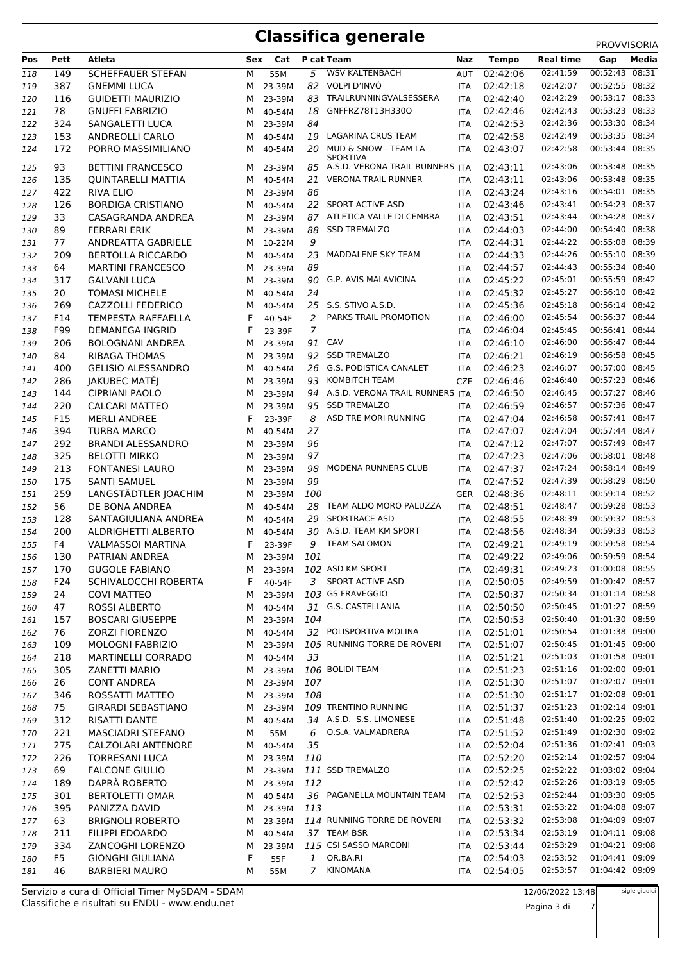## **Classifica generale** PROVISORIA

|            |      |                           |     |          |                |                                                       |            |              |                  | <b>PRUVVISURIA</b> |
|------------|------|---------------------------|-----|----------|----------------|-------------------------------------------------------|------------|--------------|------------------|--------------------|
| Pos        | Pett | Atleta                    | Sex | Cat      |                | P cat Team                                            | Naz        | <b>Tempo</b> | <b>Real time</b> | Media<br>Gap       |
| 118        | 149  | <b>SCHEFFAUER STEFAN</b>  | М   | 55M      | 5              | <b>WSV KALTENBACH</b>                                 | <b>AUT</b> | 02:42:06     | 02:41:59         | 00:52:43 08:31     |
| 119        | 387  | <b>GNEMMI LUCA</b>        | м   | 23-39M   |                | 82 VOLPI D'INVO                                       | <b>ITA</b> | 02:42:18     | 02:42:07         | 00:52:55 08:32     |
| 120        | 116  | <b>GUIDETTI MAURIZIO</b>  | м   | 23-39M   | 83             | TRAILRUNNINGVALSESSERA                                | <b>ITA</b> | 02:42:40     | 02:42:29         | 00:53:17 08:33     |
| 121        | 78   | <b>GNUFFI FABRIZIO</b>    | м   | 40-54M   | 18             | GNFFRZ78T13H330O                                      | <b>ITA</b> | 02:42:46     | 02:42:43         | 00:53:23 08:33     |
| 122        | 324  | SANGALETTI LUCA           | м   | 23-39M   | 84             |                                                       | <b>ITA</b> | 02:42:53     | 02:42:36         | 00:53:30 08:34     |
| 123        | 153  | ANDREOLLI CARLO           | м   | 40-54M   | 19             | LAGARINA CRUS TEAM                                    | <b>ITA</b> | 02:42:58     | 02:42:49         | 00:53:35 08:34     |
| 124        | 172  | PORRO MASSIMILIANO        | м   | 40-54M   | 20             | MUD & SNOW - TEAM LA                                  | <b>ITA</b> | 02:43:07     | 02:42:58         | 00:53:44 08:35     |
|            | 93   | <b>BETTINI FRANCESCO</b>  | м   | 23-39M   |                | <b>SPORTIVA</b><br>85 A.S.D. VERONA TRAIL RUNNERS ITA |            | 02:43:11     | 02:43:06         | 00:53:48 08:35     |
| 125<br>126 | 135  | <b>QUINTARELLI MATTIA</b> | м   | 40-54M   | 21             | <b>VERONA TRAIL RUNNER</b>                            | <b>ITA</b> | 02:43:11     | 02:43:06         | 00:53:48 08:35     |
|            | 422  | <b>RIVA ELIO</b>          | м   | 23-39M   | 86             |                                                       | <b>ITA</b> | 02:43:24     | 02:43:16         | 00:54:01 08:35     |
| 127        |      |                           |     |          |                | 22 SPORT ACTIVE ASD                                   |            | 02:43:46     | 02:43:41         | 00:54:23 08:37     |
| 128        | 126  | <b>BORDIGA CRISTIANO</b>  | м   | 40-54M   |                | ATLETICA VALLE DI CEMBRA                              | <b>ITA</b> |              | 02:43:44         | 00:54:28 08:37     |
| 129        | 33   | CASAGRANDA ANDREA         | м   | 23-39M   | 87             |                                                       | <b>ITA</b> | 02:43:51     |                  | 00:54:40 08:38     |
| 130        | 89   | <b>FERRARI ERIK</b>       | M   | 23-39M   | 88             | <b>SSD TREMALZO</b>                                   | <b>ITA</b> | 02:44:03     | 02:44:00         | 00:55:08 08:39     |
| 131        | 77   | ANDREATTA GABRIELE        | м   | 10-22M   | 9              |                                                       | <b>ITA</b> | 02:44:31     | 02:44:22         | 00:55:10 08:39     |
| 132        | 209  | <b>BERTOLLA RICCARDO</b>  | м   | 40-54M   | 23             | MADDALENE SKY TEAM                                    | <b>ITA</b> | 02:44:33     | 02:44:26         | 00:55:34 08:40     |
| 133        | 64   | <b>MARTINI FRANCESCO</b>  | м   | 23-39M   | 89             |                                                       | <b>ITA</b> | 02:44:57     | 02:44:43         |                    |
| 134        | 317  | <b>GALVANI LUCA</b>       | м   | 23-39M   | 90             | G.P. AVIS MALAVICINA                                  | <b>ITA</b> | 02:45:22     | 02:45:01         | 00:55:59 08:42     |
| 135        | 20   | <b>TOMASI MICHELE</b>     | м   | 40-54M   | 24             |                                                       | <b>ITA</b> | 02:45:32     | 02:45:27         | 00:56:10 08:42     |
| 136        | 269  | CAZZOLLI FEDERICO         | м   | 40-54M   |                | 25 S.S. STIVO A.S.D.                                  | <b>ITA</b> | 02:45:36     | 02:45:18         | 00:56:14 08:42     |
| 137        | F14  | <b>TEMPESTA RAFFAELLA</b> | F   | 40-54F   | 2              | PARKS TRAIL PROMOTION                                 | <b>ITA</b> | 02:46:00     | 02:45:54         | 00:56:37 08:44     |
| 138        | F99  | DEMANEGA INGRID           | F   | 23-39F   | $\overline{7}$ |                                                       | <b>ITA</b> | 02:46:04     | 02:45:45         | 00:56:41 08:44     |
| 139        | 206  | <b>BOLOGNANI ANDREA</b>   | м   | 23-39M   |                | 91 CAV                                                | <b>ITA</b> | 02:46:10     | 02:46:00         | 00:56:47 08:44     |
| 140        | 84   | <b>RIBAGA THOMAS</b>      | M   | 23-39M   |                | 92 SSD TREMALZO                                       | <b>ITA</b> | 02:46:21     | 02:46:19         | 00:56:58 08:45     |
| 141        | 400  | <b>GELISIO ALESSANDRO</b> | м   | 40-54M   |                | 26 G.S. PODISTICA CANALET                             | <b>ITA</b> | 02:46:23     | 02:46:07         | 00:57:00 08:45     |
| 142        | 286  | JAKUBEC MATĚJ             | м   | 23-39M   |                | 93 KOMBITCH TEAM                                      | <b>CZE</b> | 02:46:46     | 02:46:40         | 00:57:23 08:46     |
| 143        | 144  | <b>CIPRIANI PAOLO</b>     | м   | 23-39M   |                | 94 A.S.D. VERONA TRAIL RUNNERS ITA                    |            | 02:46:50     | 02:46:45         | 00:57:27 08:46     |
| 144        | 220  | CALCARI MATTEO            | м   | 23-39M   |                | 95 SSD TREMALZO                                       | <b>ITA</b> | 02:46:59     | 02:46:57         | 00:57:36 08:47     |
| 145        | F15  | <b>MERLI ANDREE</b>       | F   | 23-39F   | 8              | ASD TRE MORI RUNNING                                  | <b>ITA</b> | 02:47:04     | 02:46:58         | 00:57:41 08:47     |
| 146        | 394  | <b>TURBA MARCO</b>        | м   | 40-54M   | 27             |                                                       | <b>ITA</b> | 02:47:07     | 02:47:04         | 00:57:44 08:47     |
| 147        | 292  | <b>BRANDI ALESSANDRO</b>  | м   | 23-39M   | 96             |                                                       | <b>ITA</b> | 02:47:12     | 02:47:07         | 00:57:49 08:47     |
| 148        | 325  | <b>BELOTTI MIRKO</b>      | м   | 23-39M   | 97             |                                                       | <b>ITA</b> | 02:47:23     | 02:47:06         | 00:58:01 08:48     |
| 149        | 213  | <b>FONTANESI LAURO</b>    | м   | 23-39M   | 98             | MODENA RUNNERS CLUB                                   | <b>ITA</b> | 02:47:37     | 02:47:24         | 00:58:14 08:49     |
| 150        | 175  | <b>SANTI SAMUEL</b>       | м   | 23-39M   | 99             |                                                       | <b>ITA</b> | 02:47:52     | 02:47:39         | 00:58:29 08:50     |
| 151        | 259  | LANGSTÄDTLER JOACHIM      | м   | 23-39M   | <i>100</i>     |                                                       | <b>GER</b> | 02:48:36     | 02:48:11         | 00:59:14 08:52     |
| 152        | 56   | DE BONA ANDREA            | M   | 40-54M   |                | 28 TEAM ALDO MORO PALUZZA                             | <b>ITA</b> | 02:48:51     | 02:48:47         | 00:59:28 08:53     |
| 153        | 128  | SANTAGIULIANA ANDREA      | M   | 40-54M   | 29             | SPORTRACE ASD                                         | <b>ITA</b> | 02:48:55     | 02:48:39         | 00:59:32 08:53     |
| 154        | 200  | ALDRIGHETTI ALBERTO       | м   | 40-54M   | 30             | A.S.D. TEAM KM SPORT                                  | <b>ITA</b> | 02:48:56     | 02:48:34         | 00:59:33 08:53     |
| 155        | F4   | <b>VALMASSOI MARTINA</b>  | F   | 23-39F   | 9              | <b>TEAM SALOMON</b>                                   | ITA        | 02:49:21     | 02:49:19         | 00:59:58 08:54     |
| 156        | 130  | PATRIAN ANDREA            | M   | 23-39M   | 101            |                                                       |            | ITA 02:49:22 | 02:49:06         | 00:59:59 08:54     |
| 157        | 170  | <b>GUGOLE FABIANO</b>     |     | M 23-39M |                | 102 ASD KM SPORT                                      | ITA.       | 02:49:31     | 02:49:23         | 01:00:08 08:55     |
| 158        | F24  | SCHIVALOCCHI ROBERTA      | F.  | 40-54F   |                | 3 SPORT ACTIVE ASD                                    | <b>ITA</b> | 02:50:05     | 02:49:59         | 01:00:42 08:57     |
| 159        | 24   | <b>COVI MATTEO</b>        | M   | 23-39M   |                | 103 GS FRAVEGGIO                                      | <b>ITA</b> | 02:50:37     | 02:50:34         | 01:01:14 08:58     |
| 160        | 47   | ROSSI ALBERTO             | M   | 40-54M   |                | 31 G.S. CASTELLANIA                                   | ITA        | 02:50:50     | 02:50:45         | 01:01:27 08:59     |
| 161        | 157  | <b>BOSCARI GIUSEPPE</b>   | M   | 23-39M   | 104            |                                                       | ITA        | 02:50:53     | 02:50:40         | 01:01:30 08:59     |
| 162        | 76   | <b>ZORZI FIORENZO</b>     | M   | 40-54M   |                | 32 POLISPORTIVA MOLINA                                | <b>ITA</b> | 02:51:01     | 02:50:54         | 01:01:38 09:00     |
| 163        | 109  | <b>MOLOGNI FABRIZIO</b>   | M   | 23-39M   |                | 105 RUNNING TORRE DE ROVERI                           | ITA        | 02:51:07     | 02:50:45         | 01:01:45 09:00     |
| 164        | 218  | <b>MARTINELLI CORRADO</b> | M   | 40-54M   | 33             |                                                       | <b>ITA</b> | 02:51:21     | 02:51:03         | 01:01:58 09:01     |
| 165        | 305  | ZANETTI MARIO             | M   | 23-39M   |                | 106 BOLIDI TEAM                                       | ITA        | 02:51:23     | 02:51:16         | 01:02:00 09:01     |
| 166        | 26   | <b>CONT ANDREA</b>        | M   | 23-39M   | 107            |                                                       | ITA        | 02:51:30     | 02:51:07         | 01:02:07 09:01     |
| 167        | 346  | ROSSATTI MATTEO           |     | M 23-39M | 108            |                                                       | ITA        | 02:51:30     | 02:51:17         | 01:02:08 09:01     |
| 168        | 75   | <b>GIRARDI SEBASTIANO</b> | M   | 23-39M   |                | 109 TRENTINO RUNNING                                  | ITA        | 02:51:37     | 02:51:23         | 01:02:14 09:01     |
| 169        | 312  | RISATTI DANTE             | м   | 40-54M   |                | 34 A.S.D. S.S. LIMONESE                               | <b>ITA</b> | 02:51:48     | 02:51:40         | 01:02:25 09:02     |
| 170        | 221  | <b>MASCIADRI STEFANO</b>  | М   | 55M      |                | 6 O.S.A. VALMADRERA                                   | ITA        | 02:51:52     | 02:51:49         | 01:02:30 09:02     |
| 171        | 275  | CALZOLARI ANTENORE        | M   | 40-54M   | 35             |                                                       | ITA        | 02:52:04     | 02:51:36         | 01:02:41 09:03     |
| 172        | 226  | <b>TORRESANI LUCA</b>     | M   | 23-39M   | 110            |                                                       | ITA        | 02:52:20     | 02:52:14         | 01:02:57 09:04     |
| 173        | 69   | <b>FALCONE GIULIO</b>     |     | M 23-39M |                | 111 SSD TREMALZO                                      | ITA        | 02:52:25     | 02:52:22         | 01:03:02 09:04     |
| 174        | 189  | DAPRÀ ROBERTO             | M   | 23-39M   | 112            |                                                       | ITA        | 02:52:42     | 02:52:26         | 01:03:19 09:05     |
| 175        | 301  | <b>BERTOLETTI OMAR</b>    | м   | 40-54M   |                | 36 PAGANELLA MOUNTAIN TEAM                            | <b>ITA</b> | 02:52:53     | 02:52:44         | 01:03:30 09:05     |
| 176        | 395  | PANIZZA DAVID             | M   | 23-39M   | 113            |                                                       | ITA        | 02:53:31     | 02:53:22         | 01:04:08 09:07     |
| 177        | 63   | <b>BRIGNOLI ROBERTO</b>   | M   | 23-39M   |                | 114 RUNNING TORRE DE ROVERI                           | <b>ITA</b> | 02:53:32     | 02:53:08         | 01:04:09 09:07     |
| 178        | 211  | FILIPPI EDOARDO           | м   | 40-54M   |                | 37 TEAM BSR                                           | ITA        | 02:53:34     | 02:53:19         | 01:04:11 09:08     |
| 179        | 334  | ZANCOGHI LORENZO          | м   | 23-39M   |                | 115 CSI SASSO MARCONI                                 | ITA        | 02:53:44     | 02:53:29         | 01:04:21 09:08     |
| 180        | F5   | <b>GIONGHI GIULIANA</b>   | F   | 55F      | 1              | OR.BA.RI                                              | <b>ITA</b> | 02:54:03     | 02:53:52         | 01:04:41 09:09     |
| 181        | 46   | <b>BARBIERI MAURO</b>     | М   | 55M      | $\overline{7}$ | KINOMANA                                              | ITA        | 02:54:05     | 02:53:57         | 01:04:42 09:09     |
|            |      |                           |     |          |                |                                                       |            |              |                  |                    |

sigle giudici

Pagina 3 di 7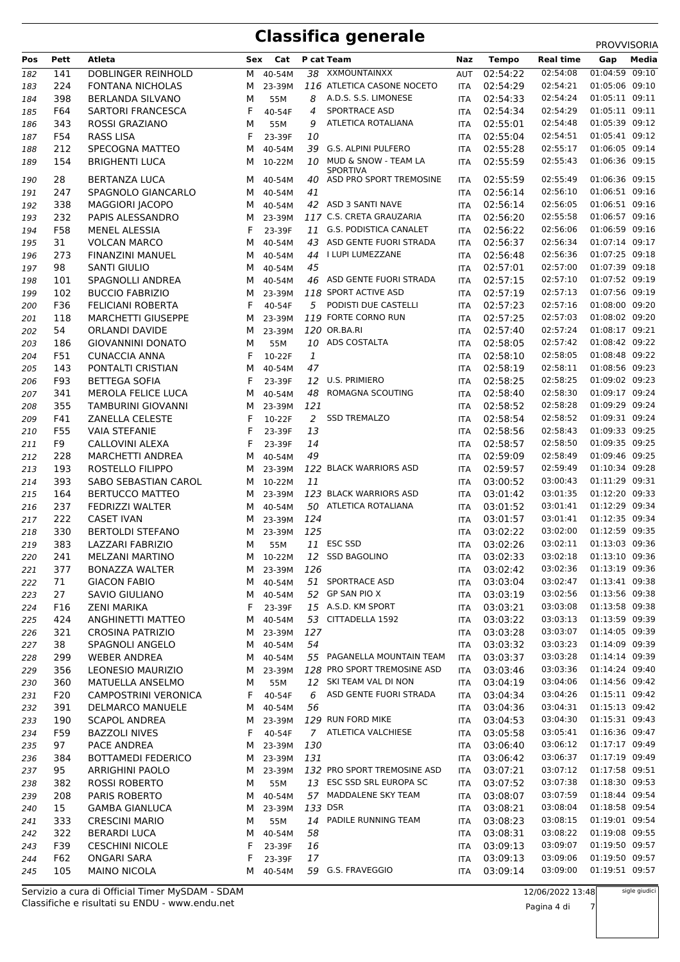# **Classifica generale** PROVVISORIA

| Pos        | Pett      | Atleta                                         | Sex    | Cat              |              | P cat Team                                 | Naz                      | <b>Tempo</b>         | <b>Real time</b>     | Gap                              | Media |
|------------|-----------|------------------------------------------------|--------|------------------|--------------|--------------------------------------------|--------------------------|----------------------|----------------------|----------------------------------|-------|
| 182        | 141       | DOBLINGER REINHOLD                             | м      | 40-54M           | 38           | XXMOUNTAINXX                               | AUT                      | 02:54:22             | 02:54:08             | 01:04:59 09:10                   |       |
| 183        | 224       | <b>FONTANA NICHOLAS</b>                        | м      | 23-39M           |              | 116 ATLETICA CASONE NOCETO                 | ITA                      | 02:54:29             | 02:54:21             | 01:05:06 09:10                   |       |
| 184        | 398       | <b>BERLANDA SILVANO</b>                        | м      | 55M              | 8            | A.D.S. S.S. LIMONESE                       | <b>ITA</b>               | 02:54:33             | 02:54:24             | 01:05:11 09:11                   |       |
| 185        | F64       | <b>SARTORI FRANCESCA</b>                       | F      | 40-54F           | 4            | SPORTRACE ASD                              | <b>ITA</b>               | 02:54:34             | 02:54:29             | 01:05:11 09:11                   |       |
| 186        | 343       | ROSSI GRAZIANO                                 | м      | 55M              | 9            | ATLETICA ROTALIANA                         | <b>ITA</b>               | 02:55:01             | 02:54:48             | 01:05:39 09:12                   |       |
| 187        | F54       | <b>RASS LISA</b>                               | F      | 23-39F           | 10           |                                            | <b>ITA</b>               | 02:55:04             | 02:54:51             | 01:05:41 09:12                   |       |
| 188        | 212       | SPECOGNA MATTEO                                | м      | 40-54M           | 39           | G.S. ALPINI PULFERO                        | <b>ITA</b>               | 02:55:28             | 02:55:17             | 01:06:05 09:14                   |       |
| 189        | 154       | <b>BRIGHENTI LUCA</b>                          | м      | 10-22M           | 10           | MUD & SNOW - TEAM LA                       | <b>ITA</b>               | 02:55:59             | 02:55:43             | 01:06:36 09:15                   |       |
| 190        | 28        | <b>BERTANZA LUCA</b>                           | м      | 40-54M           | 40           | <b>SPORTIVA</b><br>ASD PRO SPORT TREMOSINE | ITA                      | 02:55:59             | 02:55:49             | 01:06:36 09:15                   |       |
| 191        | 247       | SPAGNOLO GIANCARLO                             | м      | 40-54M           | 41           |                                            | ITA                      | 02:56:14             | 02:56:10             | 01:06:51 09:16                   |       |
| 192        | 338       | <b>MAGGIORI JACOPO</b>                         | м      | 40-54M           |              | 42 ASD 3 SANTI NAVE                        | <b>ITA</b>               | 02:56:14             | 02:56:05             | 01:06:51 09:16                   |       |
| 193        | 232       | PAPIS ALESSANDRO                               | м      | 23-39M           |              | 117 C.S. CRETA GRAUZARIA                   | <b>ITA</b>               | 02:56:20             | 02:55:58             | 01:06:57 09:16                   |       |
| 194        | F58       | <b>MENEL ALESSIA</b>                           | F      | 23-39F           |              | 11 G.S. PODISTICA CANALET                  | <b>ITA</b>               | 02:56:22             | 02:56:06             | 01:06:59 09:16                   |       |
| 195        | 31        | <b>VOLCAN MARCO</b>                            | м      | 40-54M           |              | 43 ASD GENTE FUORI STRADA                  | <b>ITA</b>               | 02:56:37             | 02:56:34             | 01:07:14 09:17                   |       |
| 196        | 273       | FINANZINI MANUEL                               | м      | 40-54M           |              | 44 I LUPI LUMEZZANE                        | <b>ITA</b>               | 02:56:48             | 02:56:36             | 01:07:25 09:18                   |       |
| 197        | 98        | <b>SANTI GIULIO</b>                            | м      | 40-54M           | 45           |                                            | <b>ITA</b>               | 02:57:01             | 02:57:00             | 01:07:39 09:18                   |       |
| 198        | 101       | <b>SPAGNOLLI ANDREA</b>                        | м      | 40-54M           |              | 46 ASD GENTE FUORI STRADA                  | <b>ITA</b>               | 02:57:15             | 02:57:10             | 01:07:52 09:19                   |       |
| 199        | 102       | <b>BUCCIO FABRIZIO</b>                         | м      | 23-39M           |              | 118 SPORT ACTIVE ASD                       | <b>ITA</b>               | 02:57:19             | 02:57:13             | 01:07:56 09:19                   |       |
| 200        | F36       | <b>FELICIANI ROBERTA</b>                       | F      | 40-54F           |              | 5 PODISTI DUE CASTELLI                     | <b>ITA</b>               | 02:57:23             | 02:57:16             | 01:08:00 09:20                   |       |
| 201        | 118       | <b>MARCHETTI GIUSEPPE</b>                      | м      | 23-39M           |              | 119 FORTE CORNO RUN                        | <b>ITA</b>               | 02:57:25             | 02:57:03             | 01:08:02 09:20                   |       |
| 202        | 54        | <b>ORLANDI DAVIDE</b>                          | м      | 23-39M           |              | 120 OR.BA.RI                               | <b>ITA</b>               | 02:57:40             | 02:57:24             | 01:08:17 09:21                   |       |
| 203        | 186       | <b>GIOVANNINI DONATO</b>                       | м      | 55M              |              | 10 ADS COSTALTA                            | <b>ITA</b>               | 02:58:05             | 02:57:42             | 01:08:42 09:22                   |       |
| 204        | F51       | <b>CUNACCIA ANNA</b>                           | F      | 10-22F           | $\mathbf{1}$ |                                            | <b>ITA</b>               | 02:58:10             | 02:58:05             | 01:08:48 09:22                   |       |
| 205        | 143       | PONTALTI CRISTIAN                              | м      | 40-54M           | 47           |                                            | <b>ITA</b>               | 02:58:19             | 02:58:11             | 01:08:56 09:23                   |       |
| 206        | F93       | <b>BETTEGA SOFIA</b>                           | F      | 23-39F           |              | 12 U.S. PRIMIERO                           | <b>ITA</b>               | 02:58:25             | 02:58:25             | 01:09:02 09:23                   |       |
| 207        | 341       | <b>MEROLA FELICE LUCA</b>                      | м      | 40-54M           | 48           | ROMAGNA SCOUTING                           | <b>ITA</b>               | 02:58:40             | 02:58:30             | 01:09:17 09:24                   |       |
| 208        | 355       | <b>TAMBURINI GIOVANNI</b>                      | м      | 23-39M           | 121          |                                            | <b>ITA</b>               | 02:58:52             | 02:58:28             | 01:09:29 09:24                   |       |
| 209        | F41       | <b>ZANELLA CELESTE</b>                         | F      | 10-22F           | 2            | <b>SSD TREMALZO</b>                        | <b>ITA</b>               | 02:58:54             | 02:58:52<br>02:58:43 | 01:09:31 09:24<br>01:09:33 09:25 |       |
| 210        | F55<br>F9 | <b>VAIA STEFANIE</b>                           | F<br>F | 23-39F           | 13<br>14     |                                            | <b>ITA</b>               | 02:58:56<br>02:58:57 | 02:58:50             | 01:09:35 09:25                   |       |
| 211<br>212 | 228       | CALLOVINI ALEXA<br><b>MARCHETTI ANDREA</b>     | м      | 23-39F<br>40-54M | 49           |                                            | <b>ITA</b><br><b>ITA</b> | 02:59:09             | 02:58:49             | 01:09:46 09:25                   |       |
| 213        | 193       | ROSTELLO FILIPPO                               | м      | 23-39M           |              | 122 BLACK WARRIORS ASD                     | <b>ITA</b>               | 02:59:57             | 02:59:49             | 01:10:34 09:28                   |       |
| 214        | 393       | SABO SEBASTIAN CAROL                           | м      | 10-22M           | 11           |                                            | <b>ITA</b>               | 03:00:52             | 03:00:43             | 01:11:29 09:31                   |       |
| 215        | 164       | <b>BERTUCCO MATTEO</b>                         | м      | 23-39M           |              | 123 BLACK WARRIORS ASD                     | <b>ITA</b>               | 03:01:42             | 03:01:35             | 01:12:20 09:33                   |       |
| 216        | 237       | <b>FEDRIZZI WALTER</b>                         | м      | 40-54M           |              | 50 ATLETICA ROTALIANA                      | <b>ITA</b>               | 03:01:52             | 03:01:41             | 01:12:29 09:34                   |       |
| 217        | 222       | <b>CASET IVAN</b>                              | м      | 23-39M           | 124          |                                            | <b>ITA</b>               | 03:01:57             | 03:01:41             | 01:12:35 09:34                   |       |
| 218        | 330       | <b>BERTOLDI STEFANO</b>                        | м      | 23-39M           | 125          |                                            | <b>ITA</b>               | 03:02:22             | 03:02:00             | 01:12:59 09:35                   |       |
| 219        | 383       | <b>LAZZARI FABRIZIO</b>                        | м      | 55M              |              | 11 ESC SSD                                 | ITA                      | 03:02:26             | 03:02:11             | 01:13:03 09:36                   |       |
| 220        | 241       | <b>MELZANI MARTINO</b>                         | м      | 10-22M           |              | 12 SSD BAGOLINO                            | <b>ITA</b>               | 03:02:33             | 03:02:18             | 01:13:10 09:36                   |       |
| 221        | 377       | <b>BONAZZA WALTER</b>                          |        | M 23-39M         | 126          |                                            | ITA                      | 03:02:42             | 03:02:36             | 01:13:19 09:36                   |       |
| 222        | 71        | <b>GIACON FABIO</b>                            | м      | 40-54M           |              | 51 SPORTRACE ASD                           | ITA                      | 03:03:04             | 03:02:47             | 01:13:41 09:38                   |       |
| 223        | 27        | SAVIO GIULIANO                                 | м      | 40-54M           |              | 52 GP SAN PIO X                            | <b>ITA</b>               | 03:03:19             | 03:02:56             | 01:13:56 09:38                   |       |
| 224        | F16       | ZENI MARIKA                                    | F      | 23-39F           |              | 15 A.S.D. KM SPORT                         | <b>ITA</b>               | 03:03:21             | 03:03:08             | 01:13:58 09:38                   |       |
| 225        | 424       | ANGHINETTI MATTEO                              | м      | 40-54M           |              | 53 CITTADELLA 1592                         | ITA                      | 03:03:22             | 03:03:13             | 01:13:59 09:39                   |       |
| 226        | 321       | <b>CROSINA PATRIZIO</b>                        | M      | 23-39M           | 127          |                                            | ITA                      | 03:03:28             | 03:03:07             | 01:14:05 09:39                   |       |
| 227        | 38        | SPAGNOLI ANGELO                                | м      | 40-54M           | 54           |                                            | <b>ITA</b>               | 03:03:32             | 03:03:23             | 01:14:09 09:39                   |       |
| 228        | 299       | <b>WEBER ANDREA</b>                            | м      | 40-54M           |              | 55 PAGANELLA MOUNTAIN TEAM                 | ITA                      | 03:03:37             | 03:03:28             | 01:14:14 09:39                   |       |
| 229        | 356       | <b>LEONESIO MAURIZIO</b>                       | м      | 23-39M           |              | 128 PRO SPORT TREMOSINE ASD                | ITA                      | 03:03:46             | 03:03:36             | 01:14:24 09:40                   |       |
| 230        | 360       | MATUELLA ANSELMO                               | м      | 55M              |              | 12 SKI TEAM VAL DI NON                     | ITA                      | 03:04:19             | 03:04:06             | 01:14:56 09:42                   |       |
| 231        | F20       | <b>CAMPOSTRINI VERONICA</b>                    | F.     | 40-54F           | 6            | ASD GENTE FUORI STRADA                     | <b>ITA</b>               | 03:04:34             | 03:04:26             | 01:15:11 09:42                   |       |
| 232        | 391       | <b>DELMARCO MANUELE</b>                        | М      | 40-54M           | 56           |                                            | <b>ITA</b>               | 03:04:36             | 03:04:31             | 01:15:13 09:42                   |       |
| 233        | 190       | <b>SCAPOL ANDREA</b>                           | M      | 23-39M           |              | 129 RUN FORD MIKE                          | <b>ITA</b>               | 03:04:53             | 03:04:30             | 01:15:31 09:43                   |       |
| 234        | F59       | <b>BAZZOLI NIVES</b>                           | F.     | 40-54F           |              | 7 ATLETICA VALCHIESE                       | ITA                      | 03:05:58             | 03:05:41<br>03:06:12 | 01:16:36 09:47<br>01:17:17 09:49 |       |
| 235        | 97        | PACE ANDREA                                    | м      | 23-39M           | 130          |                                            | <b>ITA</b>               | 03:06:40<br>03:06:42 | 03:06:37             | 01:17:19 09:49                   |       |
| 236        | 384       | <b>BOTTAMEDI FEDERICO</b>                      | м      | 23-39M           | 131          | 132 PRO SPORT TREMOSINE ASD                | ITA                      | 03:07:21             | 03:07:12             | 01:17:58 09:51                   |       |
| 237        | 95<br>382 | <b>ARRIGHINI PAOLO</b><br><b>ROSSI ROBERTO</b> | М<br>М | 23-39M<br>55M    |              | 13 ESC SSD SRL EUROPA SC                   | ITA<br><b>ITA</b>        | 03:07:52             | 03:07:38             | 01:18:30 09:53                   |       |
| 238<br>239 | 208       | PARIS ROBERTO                                  | м      | 40-54M           |              | 57 MADDALENE SKY TEAM                      | <b>ITA</b>               | 03:08:07             | 03:07:59             | 01:18:44 09:54                   |       |
| 240        | 15        | <b>GAMBA GIANLUCA</b>                          | м      | 23-39M           |              | 133 DSR                                    | <b>ITA</b>               | 03:08:21             | 03:08:04             | 01:18:58 09:54                   |       |
| 241        | 333       | <b>CRESCINI MARIO</b>                          | М      | 55M              |              | 14 PADILE RUNNING TEAM                     | ITA                      | 03:08:23             | 03:08:15             | 01:19:01 09:54                   |       |
| 242        | 322       | <b>BERARDI LUCA</b>                            | м      | 40-54M           | 58           |                                            | ITA                      | 03:08:31             | 03:08:22             | 01:19:08 09:55                   |       |
| 243        | F39       | <b>CESCHINI NICOLE</b>                         | F      | 23-39F           | 16           |                                            | <b>ITA</b>               | 03:09:13             | 03:09:07             | 01:19:50 09:57                   |       |
| 244        | F62       | <b>ONGARI SARA</b>                             | F      | 23-39F           | 17           |                                            | <b>ITA</b>               | 03:09:13             | 03:09:06             | 01:19:50 09:57                   |       |
| 245        | 105       | MAINO NICOLA                                   | м      | 40-54M           |              | 59 G.S. FRAVEGGIO                          | ITA                      | 03:09:14             | 03:09:00             | 01:19:51 09:57                   |       |
|            |           |                                                |        |                  |              |                                            |                          |                      |                      |                                  |       |

Classifiche e risultati su ENDU - www.endu.net Servizio a cura di Official Timer MySDAM - SDAM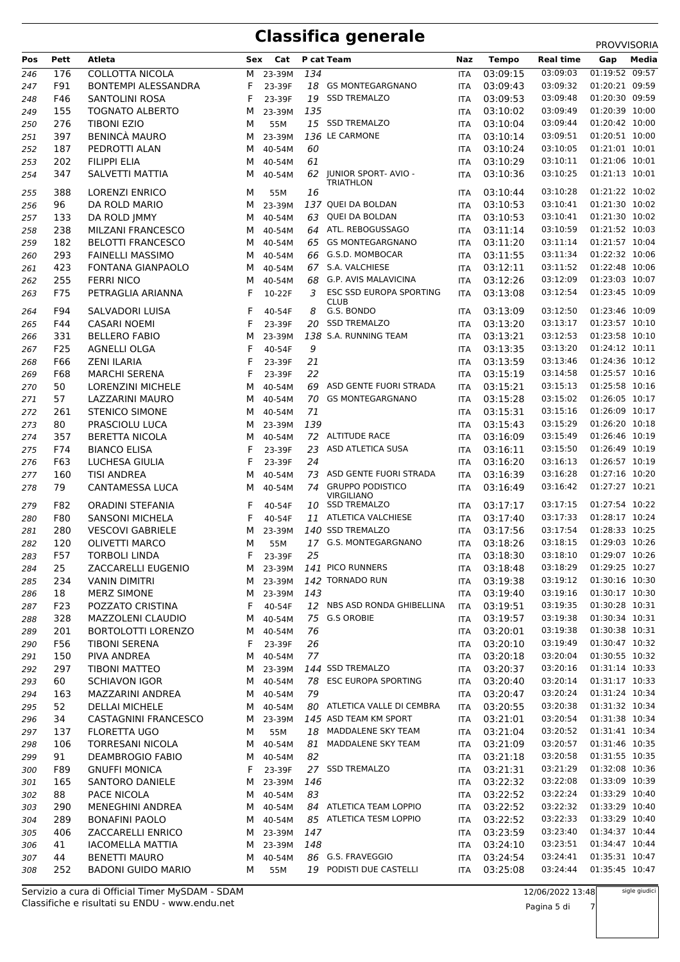## **Classifica generale** PROVVISORIA

| 01:19:52 09:57<br>03:09:03<br>176<br><b>COLLOTTA NICOLA</b><br>134<br>03:09:15<br>м<br>23-39M<br>246<br><b>ITA</b><br>F91<br><b>BONTEMPI ALESSANDRA</b><br>18 GS MONTEGARGNANO<br>03:09:43<br>03:09:32<br>01:20:21 09:59<br>247<br>F<br>23-39F<br><b>ITA</b><br>01:20:30 09:59<br>19 SSD TREMALZO<br>03:09:48<br>F46<br>F<br>03:09:53<br>SANTOLINI ROSA<br>23-39F<br>248<br>ITA<br>03:09:49<br>01:20:39 10:00<br>03:10:02<br>155<br><b>TOGNATO ALBERTO</b><br>23-39M<br>135<br>249<br>М<br><b>ITA</b><br>276<br>15 SSD TREMALZO<br>03:10:04<br>03:09:44<br>01:20:42 10:00<br><b>TIBONI EZIO</b><br>55M<br>250<br>м<br>ITA<br>01:20:51 10:00<br>136 LE CARMONE<br>03:09:51<br><b>BENINCÀ MAURO</b><br>03:10:14<br>397<br>23-39M<br>251<br>м<br>ITA<br>01:21:01 10:01<br>03:10:05<br>187<br>03:10:24<br>252<br>PEDROTTI ALAN<br>40-54M<br>60<br><b>ITA</b><br>м<br>01:21:06 10:01<br>202<br><b>FILIPPI ELIA</b><br>61<br>03:10:29<br>03:10:11<br>253<br>40-54M<br>м<br>ITA<br>01:21:13 10:01<br><b>JUNIOR SPORT- AVIO -</b><br>03:10:25<br>03:10:36<br>347<br>SALVETTI MATTIA<br>62<br>254<br>м<br>40-54M<br><b>ITA</b><br><b>TRIATHLON</b><br>388<br><b>LORENZI ENRICO</b><br>03:10:44<br>03:10:28<br>01:21:22 10:02<br>255<br>16<br>м<br>55M<br><b>ITA</b><br>01:21:30 10:02<br>137 QUEI DA BOLDAN<br>03:10:41<br>96<br>03:10:53<br>DA ROLD MARIO<br>23-39M<br>256<br>м<br><b>ITA</b><br>01:21:30 10:02<br>03:10:41<br>QUEI DA BOLDAN<br>03:10:53<br>257<br>133<br>DA ROLD JMMY<br>40-54M<br>63<br><b>ITA</b><br>м<br>01:21:52 10:03<br>238<br>03:11:14<br>03:10:59<br>258<br>MILZANI FRANCESCO<br>40-54M<br>64 ATL. REBOGUSSAGO<br>м<br><b>ITA</b><br>01:21:57 10:04<br><b>GS MONTEGARGNANO</b><br>03:11:14<br>182<br>03:11:20<br><b>BELOTTI FRANCESCO</b><br>40-54M<br>65<br>259<br>м<br><b>ITA</b><br>01:22:32 10:06<br>293<br>66 G.S.D. MOMBOCAR<br>03:11:55<br>03:11:34<br><b>FAINELLI MASSIMO</b><br>40-54M<br>260<br>м<br><b>ITA</b><br>01:22:48 10:06<br>423<br>67 S.A. VALCHIESE<br>03:12:11<br>03:11:52<br>FONTANA GIANPAOLO<br>261<br>м<br>40-54M<br><b>ITA</b><br>G.P. AVIS MALAVICINA<br>03:12:09<br>01:23:03 10:07<br>255<br>03:12:26<br>262<br><b>FERRI NICO</b><br>40-54M<br>68<br>м<br><b>ITA</b><br>01:23:45 10:09<br>ESC SSD EUROPA SPORTING<br>F75<br>PETRAGLIA ARIANNA<br>F<br>10-22F<br>3<br>03:13:08<br>03:12:54<br>263<br><b>ITA</b><br><b>CLUB</b><br>G.S. BONDO<br>01:23:46 10:09<br>8<br>03:12:50<br>F94<br><b>SALVADORI LUISA</b><br>03:13:09<br>264<br>F<br>40-54F<br><b>ITA</b><br>F44<br>F<br>20 SSD TREMALZO<br>03:13:20<br>03:13:17<br>01:23:57 10:10<br>CASARI NOEMI<br>23-39F<br><b>ITA</b><br>265<br>331<br>138 S.A. RUNNING TEAM<br>03:13:21<br>03:12:53<br>01:23:58 10:10<br><b>BELLERO FABIO</b><br>м<br>23-39M<br>266<br><b>ITA</b><br>01:24:12 10:11<br>9<br>03:13:20<br>F25<br>F<br>03:13:35<br><b>AGNELLI OLGA</b><br>267<br>40-54F<br><b>ITA</b><br>01:24:36 10:12<br>F<br>21<br>03:13:59<br>F66<br><b>ZENI ILARIA</b><br>03:13:46<br>268<br>23-39F<br>ITA<br>F68<br>F<br>22<br>03:15:19<br>01:25:57 10:16<br><b>MARCHI SERENA</b><br>03:14:58<br>23-39F<br>269<br>ITA<br>ASD GENTE FUORI STRADA<br>03:15:13<br>01:25:58 10:16<br>50<br>03:15:21<br><b>LORENZINI MICHELE</b><br>М<br>40-54M<br>69<br>270<br>ITA<br>57<br>70 GS MONTEGARGNANO<br>03:15:28<br>03:15:02<br>01:26:05 10:17<br>271<br>LAZZARINI MAURO<br>40-54M<br>м<br><b>ITA</b><br>71<br>03:15:31<br>03:15:16<br>01:26:09 10:17<br>261<br><b>STENICO SIMONE</b><br>272<br>м<br>40-54M<br><b>ITA</b><br>01:26:20 10:18<br>03:15:29<br>80<br>03:15:43<br>273<br>PRASCIOLU LUCA<br>23-39M<br>139<br>м<br>ITA<br>01:26:46 10:19<br>72 ALTITUDE RACE<br>03:16:09<br>03:15:49<br>274<br>357<br><b>BERETTA NICOLA</b><br>40-54M<br>М<br>ITA<br>23<br>ASD ATLETICA SUSA<br>03:16:11<br>03:15:50<br>01:26:49 10:19<br>F74<br><b>BIANCO ELISA</b><br>F<br>275<br>23-39F<br><b>ITA</b><br>01:26:57 10:19<br>24<br>03:16:13<br>F63<br>F<br>03:16:20<br>LUCHESA GIULIA<br>23-39F<br>276<br>ITA<br>01:27:16 10:20<br>160<br>ASD GENTE FUORI STRADA<br>03:16:39<br>03:16:28<br><b>TISI ANDREA</b><br>40-54M<br>73<br>277<br>М<br><b>ITA</b><br>01:27:27 10:21<br>CANTAMESSA LUCA<br>74 GRUPPO PODISTICO<br>03:16:42<br>79<br>03:16:49<br>м<br>40-54M<br>278<br>ITA<br><b>VIRGILIANO</b><br>01:27:54 10:22<br>F82<br><b>ORADINI STEFANIA</b><br>F<br>10 SSD TREMALZO<br>03:17:17<br>03:17:15<br>279<br>40-54F<br><b>ITA</b><br>01:28:17 10:24<br>11 ATLETICA VALCHIESE<br>03:17:33<br>F80<br>F<br>03:17:40<br><b>SANSONI MICHELA</b><br>280<br>40-54F<br><b>ITA</b><br>01:28:33 10:25<br>140 SSD TREMALZO<br>03:17:54<br>280<br>03:17:56<br><b>VESCOVI GABRIELE</b><br>281<br>м<br>23-39M<br>ITA<br>01:29:03 10:26<br>120<br>17 G.S. MONTEGARGNANO<br>03:18:26<br>03:18:15<br>282<br><b>OLIVETTI MARCO</b><br>55M<br><b>ITA</b><br>м<br>03:18:10<br>01:29:07 10:26<br>F57<br>F<br>25<br>03:18:30<br>TORBOLI LINDA<br>23-39F<br>283<br>ITA<br>141 PICO RUNNERS<br>03:18:29<br>01:29:25 10:27<br>25<br>ZACCARELLI EUGENIO<br>03:18:48<br>M 23-39M<br>284<br>ITA<br>01:30:16 10:30<br>142 TORNADO RUN<br>03:19:38<br>03:19:12<br>234<br><b>VANIN DIMITRI</b><br>M 23-39M<br>285<br>ITA<br>03:19:16<br>01:30:17 10:30<br>18<br>143<br>03:19:40<br><b>MERZ SIMONE</b><br>23-39M<br>286<br>M<br>ITA<br>03:19:35<br>01:30:28 10:31<br>12 NBS ASD RONDA GHIBELLINA<br>03:19:51<br>F23<br>POZZATO CRISTINA<br>F<br>40-54F<br>287<br>ITA<br>01:30:34 10:31<br>328<br>MAZZOLENI CLAUDIO<br>40-54M<br>75 G.S OROBIE<br>03:19:57<br>03:19:38<br>288<br>м<br>ITA<br>01:30:38 10:31<br>03:20:01<br>03:19:38<br>201<br><b>BORTOLOTTI LORENZO</b><br>40-54M<br>76<br>289<br>м<br><b>ITA</b><br>03:19:49<br>01:30:47 10:32<br>26<br>F56<br><b>TIBONI SERENA</b><br>F<br>23-39F<br>03:20:10<br>290<br><b>ITA</b><br>77<br>03:20:18<br>01:30:55 10:32<br>150<br>PIVA ANDREA<br>40-54M<br>03:20:04<br>291<br>м<br>ITA<br>01:31:14 10:33<br>297<br>144 SSD TREMALZO<br>03:20:37<br>03:20:16<br><b>TIBONI MATTEO</b><br>23-39M<br>292<br>м<br><b>ITA</b><br>03:20:14<br>01:31:17 10:33<br>78 ESC EUROPA SPORTING<br>03:20:40<br>60<br>40-54M<br>293<br><b>SCHIAVON IGOR</b><br>м<br>ITA<br>01:31:24 10:34<br>163<br>40-54M<br>79<br>03:20:47<br>03:20:24<br>294<br>MAZZARINI ANDREA<br>ITA<br>м<br>03:20:38<br>01:31:32 10:34<br>80 ATLETICA VALLE DI CEMBRA<br>03:20:55<br>52<br><b>DELLAI MICHELE</b><br>40-54M<br>295<br>ITA<br>M<br>01:31:38 10:34<br>03:20:54<br>34<br>CASTAGNINI FRANCESCO<br>23-39M<br>145 ASD TEAM KM SPORT<br>03:21:01<br>296<br>M<br><b>ITA</b><br>01:31:41 10:34<br>03:21:04<br>137<br><b>FLORETTA UGO</b><br>18 MADDALENE SKY TEAM<br>03:20:52<br>297<br>55M<br>М<br>ITA<br>01:31:46 10:35<br>TORRESANI NICOLA<br>40-54M<br>81 MADDALENE SKY TEAM<br>03:21:09<br>03:20:57<br>106<br>298<br>м<br>ITA<br>01:31:55 10:35<br>82<br>03:21:18<br>03:20:58<br>91<br><b>DEAMBROGIO FABIO</b><br>40-54M<br>299<br>м<br>ITA<br>03:21:29<br>01:32:08 10:36<br>F89<br><b>GNUFFI MONICA</b><br>F.<br>27 SSD TREMALZO<br>03:21:31<br>23-39F<br>300<br><b>ITA</b><br>03:22:08<br>01:33:09 10:39<br>03:22:32<br>165<br>SANTORO DANIELE<br>23-39M<br>146<br>301<br>м<br>ITA<br>01:33:29 10:40<br>03:22:52<br>03:22:24<br>88<br>PACE NICOLA<br>40-54M<br>83<br>302<br>м<br><b>ITA</b><br>03:22:52<br>01:33:29 10:40<br>290<br><b>MENEGHINI ANDREA</b><br>40-54M<br>84 ATLETICA TEAM LOPPIO<br>03:22:32<br>303<br>м<br>ITA<br>03:22:33<br>01:33:29 10:40<br>289<br>85 ATLETICA TESM LOPPIO<br>03:22:52<br><b>BONAFINI PAOLO</b><br>40-54M<br>304<br>M<br>ITA<br>03:23:59<br>03:23:40<br>01:34:37 10:44<br>406<br>ZACCARELLI ENRICO<br>23-39M<br>147<br>305<br>М<br><b>ITA</b><br>01:34:47 10:44<br>41<br><b>IACOMELLA MATTIA</b><br>148<br>03:24:10<br>03:23:51<br>23-39M<br>306<br>M<br>ITA<br>01:35:31 10:47<br>86 G.S. FRAVEGGIO<br>03:24:54<br>03:24:41<br>44<br><b>BENETTI MAURO</b><br>40-54M<br>307<br><b>ITA</b><br>м<br>19 PODISTI DUE CASTELLI<br>01:35:45 10:47<br>252<br><b>BADONI GUIDO MARIO</b><br>03:25:08<br>03:24:44<br>308<br>м<br>55M<br>ITA | Pos | Pett | Atleta | Sex | Cat | P cat Team | Naz | <b>Tempo</b> | Real time | 111000000000<br>Media<br>Gap |
|----------------------------------------------------------------------------------------------------------------------------------------------------------------------------------------------------------------------------------------------------------------------------------------------------------------------------------------------------------------------------------------------------------------------------------------------------------------------------------------------------------------------------------------------------------------------------------------------------------------------------------------------------------------------------------------------------------------------------------------------------------------------------------------------------------------------------------------------------------------------------------------------------------------------------------------------------------------------------------------------------------------------------------------------------------------------------------------------------------------------------------------------------------------------------------------------------------------------------------------------------------------------------------------------------------------------------------------------------------------------------------------------------------------------------------------------------------------------------------------------------------------------------------------------------------------------------------------------------------------------------------------------------------------------------------------------------------------------------------------------------------------------------------------------------------------------------------------------------------------------------------------------------------------------------------------------------------------------------------------------------------------------------------------------------------------------------------------------------------------------------------------------------------------------------------------------------------------------------------------------------------------------------------------------------------------------------------------------------------------------------------------------------------------------------------------------------------------------------------------------------------------------------------------------------------------------------------------------------------------------------------------------------------------------------------------------------------------------------------------------------------------------------------------------------------------------------------------------------------------------------------------------------------------------------------------------------------------------------------------------------------------------------------------------------------------------------------------------------------------------------------------------------------------------------------------------------------------------------------------------------------------------------------------------------------------------------------------------------------------------------------------------------------------------------------------------------------------------------------------------------------------------------------------------------------------------------------------------------------------------------------------------------------------------------------------------------------------------------------------------------------------------------------------------------------------------------------------------------------------------------------------------------------------------------------------------------------------------------------------------------------------------------------------------------------------------------------------------------------------------------------------------------------------------------------------------------------------------------------------------------------------------------------------------------------------------------------------------------------------------------------------------------------------------------------------------------------------------------------------------------------------------------------------------------------------------------------------------------------------------------------------------------------------------------------------------------------------------------------------------------------------------------------------------------------------------------------------------------------------------------------------------------------------------------------------------------------------------------------------------------------------------------------------------------------------------------------------------------------------------------------------------------------------------------------------------------------------------------------------------------------------------------------------------------------------------------------------------------------------------------------------------------------------------------------------------------------------------------------------------------------------------------------------------------------------------------------------------------------------------------------------------------------------------------------------------------------------------------------------------------------------------------------------------------------------------------------------------------------------------------------------------------------------------------------------------------------------------------------------------------------------------------------------------------------------------------------------------------------------------------------------------------------------------------------------------------------------------------------------------------------------------------------------------------------------------------------------------------------------------------------------------------------------------------------------------------------------------------------------------------------------------------------------------------------------------------------------------------------------------------------------------------------------------------------------------------------------------------------------------------------------------------------------------------------------------------------------------------------------------------------------------------------------------------------------------------------------------------------------------------------------------------------------------------------------------------------------------------------------------------------------------------------------------------------------------------------------------------------------------------------------------------------------------------------------------------------------------------------------------------------------------------------------------------------------------------------------------------------------------------------------------------------------------------------------------------------------------------------------------------------------------------------------------------------------------------------------------------------------------------------------------------------------------------------------------------------------------------------------------------------------------------------------------------------------------------------------------------------------------------------------------------------------------|-----|------|--------|-----|-----|------------|-----|--------------|-----------|------------------------------|
|                                                                                                                                                                                                                                                                                                                                                                                                                                                                                                                                                                                                                                                                                                                                                                                                                                                                                                                                                                                                                                                                                                                                                                                                                                                                                                                                                                                                                                                                                                                                                                                                                                                                                                                                                                                                                                                                                                                                                                                                                                                                                                                                                                                                                                                                                                                                                                                                                                                                                                                                                                                                                                                                                                                                                                                                                                                                                                                                                                                                                                                                                                                                                                                                                                                                                                                                                                                                                                                                                                                                                                                                                                                                                                                                                                                                                                                                                                                                                                                                                                                                                                                                                                                                                                                                                                                                                                                                                                                                                                                                                                                                                                                                                                                                                                                                                                                                                                                                                                                                                                                                                                                                                                                                                                                                                                                                                                                                                                                                                                                                                                                                                                                                                                                                                                                                                                                                                                                                                                                                                                                                                                                                                                                                                                                                                                                                                                                                                                                                                                                                                                                                                                                                                                                                                                                                                                                                                                                                                                                                                                                                                                                                                                                                                                                                                                                                                                                                                                                                                                                                                                                                                                                                                                                                                                                                                                                                                                                                                                                                                                              |     |      |        |     |     |            |     |              |           |                              |
|                                                                                                                                                                                                                                                                                                                                                                                                                                                                                                                                                                                                                                                                                                                                                                                                                                                                                                                                                                                                                                                                                                                                                                                                                                                                                                                                                                                                                                                                                                                                                                                                                                                                                                                                                                                                                                                                                                                                                                                                                                                                                                                                                                                                                                                                                                                                                                                                                                                                                                                                                                                                                                                                                                                                                                                                                                                                                                                                                                                                                                                                                                                                                                                                                                                                                                                                                                                                                                                                                                                                                                                                                                                                                                                                                                                                                                                                                                                                                                                                                                                                                                                                                                                                                                                                                                                                                                                                                                                                                                                                                                                                                                                                                                                                                                                                                                                                                                                                                                                                                                                                                                                                                                                                                                                                                                                                                                                                                                                                                                                                                                                                                                                                                                                                                                                                                                                                                                                                                                                                                                                                                                                                                                                                                                                                                                                                                                                                                                                                                                                                                                                                                                                                                                                                                                                                                                                                                                                                                                                                                                                                                                                                                                                                                                                                                                                                                                                                                                                                                                                                                                                                                                                                                                                                                                                                                                                                                                                                                                                                                                              |     |      |        |     |     |            |     |              |           |                              |
|                                                                                                                                                                                                                                                                                                                                                                                                                                                                                                                                                                                                                                                                                                                                                                                                                                                                                                                                                                                                                                                                                                                                                                                                                                                                                                                                                                                                                                                                                                                                                                                                                                                                                                                                                                                                                                                                                                                                                                                                                                                                                                                                                                                                                                                                                                                                                                                                                                                                                                                                                                                                                                                                                                                                                                                                                                                                                                                                                                                                                                                                                                                                                                                                                                                                                                                                                                                                                                                                                                                                                                                                                                                                                                                                                                                                                                                                                                                                                                                                                                                                                                                                                                                                                                                                                                                                                                                                                                                                                                                                                                                                                                                                                                                                                                                                                                                                                                                                                                                                                                                                                                                                                                                                                                                                                                                                                                                                                                                                                                                                                                                                                                                                                                                                                                                                                                                                                                                                                                                                                                                                                                                                                                                                                                                                                                                                                                                                                                                                                                                                                                                                                                                                                                                                                                                                                                                                                                                                                                                                                                                                                                                                                                                                                                                                                                                                                                                                                                                                                                                                                                                                                                                                                                                                                                                                                                                                                                                                                                                                                                              |     |      |        |     |     |            |     |              |           |                              |
|                                                                                                                                                                                                                                                                                                                                                                                                                                                                                                                                                                                                                                                                                                                                                                                                                                                                                                                                                                                                                                                                                                                                                                                                                                                                                                                                                                                                                                                                                                                                                                                                                                                                                                                                                                                                                                                                                                                                                                                                                                                                                                                                                                                                                                                                                                                                                                                                                                                                                                                                                                                                                                                                                                                                                                                                                                                                                                                                                                                                                                                                                                                                                                                                                                                                                                                                                                                                                                                                                                                                                                                                                                                                                                                                                                                                                                                                                                                                                                                                                                                                                                                                                                                                                                                                                                                                                                                                                                                                                                                                                                                                                                                                                                                                                                                                                                                                                                                                                                                                                                                                                                                                                                                                                                                                                                                                                                                                                                                                                                                                                                                                                                                                                                                                                                                                                                                                                                                                                                                                                                                                                                                                                                                                                                                                                                                                                                                                                                                                                                                                                                                                                                                                                                                                                                                                                                                                                                                                                                                                                                                                                                                                                                                                                                                                                                                                                                                                                                                                                                                                                                                                                                                                                                                                                                                                                                                                                                                                                                                                                                              |     |      |        |     |     |            |     |              |           |                              |
|                                                                                                                                                                                                                                                                                                                                                                                                                                                                                                                                                                                                                                                                                                                                                                                                                                                                                                                                                                                                                                                                                                                                                                                                                                                                                                                                                                                                                                                                                                                                                                                                                                                                                                                                                                                                                                                                                                                                                                                                                                                                                                                                                                                                                                                                                                                                                                                                                                                                                                                                                                                                                                                                                                                                                                                                                                                                                                                                                                                                                                                                                                                                                                                                                                                                                                                                                                                                                                                                                                                                                                                                                                                                                                                                                                                                                                                                                                                                                                                                                                                                                                                                                                                                                                                                                                                                                                                                                                                                                                                                                                                                                                                                                                                                                                                                                                                                                                                                                                                                                                                                                                                                                                                                                                                                                                                                                                                                                                                                                                                                                                                                                                                                                                                                                                                                                                                                                                                                                                                                                                                                                                                                                                                                                                                                                                                                                                                                                                                                                                                                                                                                                                                                                                                                                                                                                                                                                                                                                                                                                                                                                                                                                                                                                                                                                                                                                                                                                                                                                                                                                                                                                                                                                                                                                                                                                                                                                                                                                                                                                                              |     |      |        |     |     |            |     |              |           |                              |
|                                                                                                                                                                                                                                                                                                                                                                                                                                                                                                                                                                                                                                                                                                                                                                                                                                                                                                                                                                                                                                                                                                                                                                                                                                                                                                                                                                                                                                                                                                                                                                                                                                                                                                                                                                                                                                                                                                                                                                                                                                                                                                                                                                                                                                                                                                                                                                                                                                                                                                                                                                                                                                                                                                                                                                                                                                                                                                                                                                                                                                                                                                                                                                                                                                                                                                                                                                                                                                                                                                                                                                                                                                                                                                                                                                                                                                                                                                                                                                                                                                                                                                                                                                                                                                                                                                                                                                                                                                                                                                                                                                                                                                                                                                                                                                                                                                                                                                                                                                                                                                                                                                                                                                                                                                                                                                                                                                                                                                                                                                                                                                                                                                                                                                                                                                                                                                                                                                                                                                                                                                                                                                                                                                                                                                                                                                                                                                                                                                                                                                                                                                                                                                                                                                                                                                                                                                                                                                                                                                                                                                                                                                                                                                                                                                                                                                                                                                                                                                                                                                                                                                                                                                                                                                                                                                                                                                                                                                                                                                                                                                              |     |      |        |     |     |            |     |              |           |                              |
|                                                                                                                                                                                                                                                                                                                                                                                                                                                                                                                                                                                                                                                                                                                                                                                                                                                                                                                                                                                                                                                                                                                                                                                                                                                                                                                                                                                                                                                                                                                                                                                                                                                                                                                                                                                                                                                                                                                                                                                                                                                                                                                                                                                                                                                                                                                                                                                                                                                                                                                                                                                                                                                                                                                                                                                                                                                                                                                                                                                                                                                                                                                                                                                                                                                                                                                                                                                                                                                                                                                                                                                                                                                                                                                                                                                                                                                                                                                                                                                                                                                                                                                                                                                                                                                                                                                                                                                                                                                                                                                                                                                                                                                                                                                                                                                                                                                                                                                                                                                                                                                                                                                                                                                                                                                                                                                                                                                                                                                                                                                                                                                                                                                                                                                                                                                                                                                                                                                                                                                                                                                                                                                                                                                                                                                                                                                                                                                                                                                                                                                                                                                                                                                                                                                                                                                                                                                                                                                                                                                                                                                                                                                                                                                                                                                                                                                                                                                                                                                                                                                                                                                                                                                                                                                                                                                                                                                                                                                                                                                                                                              |     |      |        |     |     |            |     |              |           |                              |
|                                                                                                                                                                                                                                                                                                                                                                                                                                                                                                                                                                                                                                                                                                                                                                                                                                                                                                                                                                                                                                                                                                                                                                                                                                                                                                                                                                                                                                                                                                                                                                                                                                                                                                                                                                                                                                                                                                                                                                                                                                                                                                                                                                                                                                                                                                                                                                                                                                                                                                                                                                                                                                                                                                                                                                                                                                                                                                                                                                                                                                                                                                                                                                                                                                                                                                                                                                                                                                                                                                                                                                                                                                                                                                                                                                                                                                                                                                                                                                                                                                                                                                                                                                                                                                                                                                                                                                                                                                                                                                                                                                                                                                                                                                                                                                                                                                                                                                                                                                                                                                                                                                                                                                                                                                                                                                                                                                                                                                                                                                                                                                                                                                                                                                                                                                                                                                                                                                                                                                                                                                                                                                                                                                                                                                                                                                                                                                                                                                                                                                                                                                                                                                                                                                                                                                                                                                                                                                                                                                                                                                                                                                                                                                                                                                                                                                                                                                                                                                                                                                                                                                                                                                                                                                                                                                                                                                                                                                                                                                                                                                              |     |      |        |     |     |            |     |              |           |                              |
|                                                                                                                                                                                                                                                                                                                                                                                                                                                                                                                                                                                                                                                                                                                                                                                                                                                                                                                                                                                                                                                                                                                                                                                                                                                                                                                                                                                                                                                                                                                                                                                                                                                                                                                                                                                                                                                                                                                                                                                                                                                                                                                                                                                                                                                                                                                                                                                                                                                                                                                                                                                                                                                                                                                                                                                                                                                                                                                                                                                                                                                                                                                                                                                                                                                                                                                                                                                                                                                                                                                                                                                                                                                                                                                                                                                                                                                                                                                                                                                                                                                                                                                                                                                                                                                                                                                                                                                                                                                                                                                                                                                                                                                                                                                                                                                                                                                                                                                                                                                                                                                                                                                                                                                                                                                                                                                                                                                                                                                                                                                                                                                                                                                                                                                                                                                                                                                                                                                                                                                                                                                                                                                                                                                                                                                                                                                                                                                                                                                                                                                                                                                                                                                                                                                                                                                                                                                                                                                                                                                                                                                                                                                                                                                                                                                                                                                                                                                                                                                                                                                                                                                                                                                                                                                                                                                                                                                                                                                                                                                                                                              |     |      |        |     |     |            |     |              |           |                              |
|                                                                                                                                                                                                                                                                                                                                                                                                                                                                                                                                                                                                                                                                                                                                                                                                                                                                                                                                                                                                                                                                                                                                                                                                                                                                                                                                                                                                                                                                                                                                                                                                                                                                                                                                                                                                                                                                                                                                                                                                                                                                                                                                                                                                                                                                                                                                                                                                                                                                                                                                                                                                                                                                                                                                                                                                                                                                                                                                                                                                                                                                                                                                                                                                                                                                                                                                                                                                                                                                                                                                                                                                                                                                                                                                                                                                                                                                                                                                                                                                                                                                                                                                                                                                                                                                                                                                                                                                                                                                                                                                                                                                                                                                                                                                                                                                                                                                                                                                                                                                                                                                                                                                                                                                                                                                                                                                                                                                                                                                                                                                                                                                                                                                                                                                                                                                                                                                                                                                                                                                                                                                                                                                                                                                                                                                                                                                                                                                                                                                                                                                                                                                                                                                                                                                                                                                                                                                                                                                                                                                                                                                                                                                                                                                                                                                                                                                                                                                                                                                                                                                                                                                                                                                                                                                                                                                                                                                                                                                                                                                                                              |     |      |        |     |     |            |     |              |           |                              |
|                                                                                                                                                                                                                                                                                                                                                                                                                                                                                                                                                                                                                                                                                                                                                                                                                                                                                                                                                                                                                                                                                                                                                                                                                                                                                                                                                                                                                                                                                                                                                                                                                                                                                                                                                                                                                                                                                                                                                                                                                                                                                                                                                                                                                                                                                                                                                                                                                                                                                                                                                                                                                                                                                                                                                                                                                                                                                                                                                                                                                                                                                                                                                                                                                                                                                                                                                                                                                                                                                                                                                                                                                                                                                                                                                                                                                                                                                                                                                                                                                                                                                                                                                                                                                                                                                                                                                                                                                                                                                                                                                                                                                                                                                                                                                                                                                                                                                                                                                                                                                                                                                                                                                                                                                                                                                                                                                                                                                                                                                                                                                                                                                                                                                                                                                                                                                                                                                                                                                                                                                                                                                                                                                                                                                                                                                                                                                                                                                                                                                                                                                                                                                                                                                                                                                                                                                                                                                                                                                                                                                                                                                                                                                                                                                                                                                                                                                                                                                                                                                                                                                                                                                                                                                                                                                                                                                                                                                                                                                                                                                                              |     |      |        |     |     |            |     |              |           |                              |
|                                                                                                                                                                                                                                                                                                                                                                                                                                                                                                                                                                                                                                                                                                                                                                                                                                                                                                                                                                                                                                                                                                                                                                                                                                                                                                                                                                                                                                                                                                                                                                                                                                                                                                                                                                                                                                                                                                                                                                                                                                                                                                                                                                                                                                                                                                                                                                                                                                                                                                                                                                                                                                                                                                                                                                                                                                                                                                                                                                                                                                                                                                                                                                                                                                                                                                                                                                                                                                                                                                                                                                                                                                                                                                                                                                                                                                                                                                                                                                                                                                                                                                                                                                                                                                                                                                                                                                                                                                                                                                                                                                                                                                                                                                                                                                                                                                                                                                                                                                                                                                                                                                                                                                                                                                                                                                                                                                                                                                                                                                                                                                                                                                                                                                                                                                                                                                                                                                                                                                                                                                                                                                                                                                                                                                                                                                                                                                                                                                                                                                                                                                                                                                                                                                                                                                                                                                                                                                                                                                                                                                                                                                                                                                                                                                                                                                                                                                                                                                                                                                                                                                                                                                                                                                                                                                                                                                                                                                                                                                                                                                              |     |      |        |     |     |            |     |              |           |                              |
|                                                                                                                                                                                                                                                                                                                                                                                                                                                                                                                                                                                                                                                                                                                                                                                                                                                                                                                                                                                                                                                                                                                                                                                                                                                                                                                                                                                                                                                                                                                                                                                                                                                                                                                                                                                                                                                                                                                                                                                                                                                                                                                                                                                                                                                                                                                                                                                                                                                                                                                                                                                                                                                                                                                                                                                                                                                                                                                                                                                                                                                                                                                                                                                                                                                                                                                                                                                                                                                                                                                                                                                                                                                                                                                                                                                                                                                                                                                                                                                                                                                                                                                                                                                                                                                                                                                                                                                                                                                                                                                                                                                                                                                                                                                                                                                                                                                                                                                                                                                                                                                                                                                                                                                                                                                                                                                                                                                                                                                                                                                                                                                                                                                                                                                                                                                                                                                                                                                                                                                                                                                                                                                                                                                                                                                                                                                                                                                                                                                                                                                                                                                                                                                                                                                                                                                                                                                                                                                                                                                                                                                                                                                                                                                                                                                                                                                                                                                                                                                                                                                                                                                                                                                                                                                                                                                                                                                                                                                                                                                                                                              |     |      |        |     |     |            |     |              |           |                              |
|                                                                                                                                                                                                                                                                                                                                                                                                                                                                                                                                                                                                                                                                                                                                                                                                                                                                                                                                                                                                                                                                                                                                                                                                                                                                                                                                                                                                                                                                                                                                                                                                                                                                                                                                                                                                                                                                                                                                                                                                                                                                                                                                                                                                                                                                                                                                                                                                                                                                                                                                                                                                                                                                                                                                                                                                                                                                                                                                                                                                                                                                                                                                                                                                                                                                                                                                                                                                                                                                                                                                                                                                                                                                                                                                                                                                                                                                                                                                                                                                                                                                                                                                                                                                                                                                                                                                                                                                                                                                                                                                                                                                                                                                                                                                                                                                                                                                                                                                                                                                                                                                                                                                                                                                                                                                                                                                                                                                                                                                                                                                                                                                                                                                                                                                                                                                                                                                                                                                                                                                                                                                                                                                                                                                                                                                                                                                                                                                                                                                                                                                                                                                                                                                                                                                                                                                                                                                                                                                                                                                                                                                                                                                                                                                                                                                                                                                                                                                                                                                                                                                                                                                                                                                                                                                                                                                                                                                                                                                                                                                                                              |     |      |        |     |     |            |     |              |           |                              |
|                                                                                                                                                                                                                                                                                                                                                                                                                                                                                                                                                                                                                                                                                                                                                                                                                                                                                                                                                                                                                                                                                                                                                                                                                                                                                                                                                                                                                                                                                                                                                                                                                                                                                                                                                                                                                                                                                                                                                                                                                                                                                                                                                                                                                                                                                                                                                                                                                                                                                                                                                                                                                                                                                                                                                                                                                                                                                                                                                                                                                                                                                                                                                                                                                                                                                                                                                                                                                                                                                                                                                                                                                                                                                                                                                                                                                                                                                                                                                                                                                                                                                                                                                                                                                                                                                                                                                                                                                                                                                                                                                                                                                                                                                                                                                                                                                                                                                                                                                                                                                                                                                                                                                                                                                                                                                                                                                                                                                                                                                                                                                                                                                                                                                                                                                                                                                                                                                                                                                                                                                                                                                                                                                                                                                                                                                                                                                                                                                                                                                                                                                                                                                                                                                                                                                                                                                                                                                                                                                                                                                                                                                                                                                                                                                                                                                                                                                                                                                                                                                                                                                                                                                                                                                                                                                                                                                                                                                                                                                                                                                                              |     |      |        |     |     |            |     |              |           |                              |
|                                                                                                                                                                                                                                                                                                                                                                                                                                                                                                                                                                                                                                                                                                                                                                                                                                                                                                                                                                                                                                                                                                                                                                                                                                                                                                                                                                                                                                                                                                                                                                                                                                                                                                                                                                                                                                                                                                                                                                                                                                                                                                                                                                                                                                                                                                                                                                                                                                                                                                                                                                                                                                                                                                                                                                                                                                                                                                                                                                                                                                                                                                                                                                                                                                                                                                                                                                                                                                                                                                                                                                                                                                                                                                                                                                                                                                                                                                                                                                                                                                                                                                                                                                                                                                                                                                                                                                                                                                                                                                                                                                                                                                                                                                                                                                                                                                                                                                                                                                                                                                                                                                                                                                                                                                                                                                                                                                                                                                                                                                                                                                                                                                                                                                                                                                                                                                                                                                                                                                                                                                                                                                                                                                                                                                                                                                                                                                                                                                                                                                                                                                                                                                                                                                                                                                                                                                                                                                                                                                                                                                                                                                                                                                                                                                                                                                                                                                                                                                                                                                                                                                                                                                                                                                                                                                                                                                                                                                                                                                                                                                              |     |      |        |     |     |            |     |              |           |                              |
|                                                                                                                                                                                                                                                                                                                                                                                                                                                                                                                                                                                                                                                                                                                                                                                                                                                                                                                                                                                                                                                                                                                                                                                                                                                                                                                                                                                                                                                                                                                                                                                                                                                                                                                                                                                                                                                                                                                                                                                                                                                                                                                                                                                                                                                                                                                                                                                                                                                                                                                                                                                                                                                                                                                                                                                                                                                                                                                                                                                                                                                                                                                                                                                                                                                                                                                                                                                                                                                                                                                                                                                                                                                                                                                                                                                                                                                                                                                                                                                                                                                                                                                                                                                                                                                                                                                                                                                                                                                                                                                                                                                                                                                                                                                                                                                                                                                                                                                                                                                                                                                                                                                                                                                                                                                                                                                                                                                                                                                                                                                                                                                                                                                                                                                                                                                                                                                                                                                                                                                                                                                                                                                                                                                                                                                                                                                                                                                                                                                                                                                                                                                                                                                                                                                                                                                                                                                                                                                                                                                                                                                                                                                                                                                                                                                                                                                                                                                                                                                                                                                                                                                                                                                                                                                                                                                                                                                                                                                                                                                                                                              |     |      |        |     |     |            |     |              |           |                              |
|                                                                                                                                                                                                                                                                                                                                                                                                                                                                                                                                                                                                                                                                                                                                                                                                                                                                                                                                                                                                                                                                                                                                                                                                                                                                                                                                                                                                                                                                                                                                                                                                                                                                                                                                                                                                                                                                                                                                                                                                                                                                                                                                                                                                                                                                                                                                                                                                                                                                                                                                                                                                                                                                                                                                                                                                                                                                                                                                                                                                                                                                                                                                                                                                                                                                                                                                                                                                                                                                                                                                                                                                                                                                                                                                                                                                                                                                                                                                                                                                                                                                                                                                                                                                                                                                                                                                                                                                                                                                                                                                                                                                                                                                                                                                                                                                                                                                                                                                                                                                                                                                                                                                                                                                                                                                                                                                                                                                                                                                                                                                                                                                                                                                                                                                                                                                                                                                                                                                                                                                                                                                                                                                                                                                                                                                                                                                                                                                                                                                                                                                                                                                                                                                                                                                                                                                                                                                                                                                                                                                                                                                                                                                                                                                                                                                                                                                                                                                                                                                                                                                                                                                                                                                                                                                                                                                                                                                                                                                                                                                                                              |     |      |        |     |     |            |     |              |           |                              |
|                                                                                                                                                                                                                                                                                                                                                                                                                                                                                                                                                                                                                                                                                                                                                                                                                                                                                                                                                                                                                                                                                                                                                                                                                                                                                                                                                                                                                                                                                                                                                                                                                                                                                                                                                                                                                                                                                                                                                                                                                                                                                                                                                                                                                                                                                                                                                                                                                                                                                                                                                                                                                                                                                                                                                                                                                                                                                                                                                                                                                                                                                                                                                                                                                                                                                                                                                                                                                                                                                                                                                                                                                                                                                                                                                                                                                                                                                                                                                                                                                                                                                                                                                                                                                                                                                                                                                                                                                                                                                                                                                                                                                                                                                                                                                                                                                                                                                                                                                                                                                                                                                                                                                                                                                                                                                                                                                                                                                                                                                                                                                                                                                                                                                                                                                                                                                                                                                                                                                                                                                                                                                                                                                                                                                                                                                                                                                                                                                                                                                                                                                                                                                                                                                                                                                                                                                                                                                                                                                                                                                                                                                                                                                                                                                                                                                                                                                                                                                                                                                                                                                                                                                                                                                                                                                                                                                                                                                                                                                                                                                                              |     |      |        |     |     |            |     |              |           |                              |
|                                                                                                                                                                                                                                                                                                                                                                                                                                                                                                                                                                                                                                                                                                                                                                                                                                                                                                                                                                                                                                                                                                                                                                                                                                                                                                                                                                                                                                                                                                                                                                                                                                                                                                                                                                                                                                                                                                                                                                                                                                                                                                                                                                                                                                                                                                                                                                                                                                                                                                                                                                                                                                                                                                                                                                                                                                                                                                                                                                                                                                                                                                                                                                                                                                                                                                                                                                                                                                                                                                                                                                                                                                                                                                                                                                                                                                                                                                                                                                                                                                                                                                                                                                                                                                                                                                                                                                                                                                                                                                                                                                                                                                                                                                                                                                                                                                                                                                                                                                                                                                                                                                                                                                                                                                                                                                                                                                                                                                                                                                                                                                                                                                                                                                                                                                                                                                                                                                                                                                                                                                                                                                                                                                                                                                                                                                                                                                                                                                                                                                                                                                                                                                                                                                                                                                                                                                                                                                                                                                                                                                                                                                                                                                                                                                                                                                                                                                                                                                                                                                                                                                                                                                                                                                                                                                                                                                                                                                                                                                                                                                              |     |      |        |     |     |            |     |              |           |                              |
|                                                                                                                                                                                                                                                                                                                                                                                                                                                                                                                                                                                                                                                                                                                                                                                                                                                                                                                                                                                                                                                                                                                                                                                                                                                                                                                                                                                                                                                                                                                                                                                                                                                                                                                                                                                                                                                                                                                                                                                                                                                                                                                                                                                                                                                                                                                                                                                                                                                                                                                                                                                                                                                                                                                                                                                                                                                                                                                                                                                                                                                                                                                                                                                                                                                                                                                                                                                                                                                                                                                                                                                                                                                                                                                                                                                                                                                                                                                                                                                                                                                                                                                                                                                                                                                                                                                                                                                                                                                                                                                                                                                                                                                                                                                                                                                                                                                                                                                                                                                                                                                                                                                                                                                                                                                                                                                                                                                                                                                                                                                                                                                                                                                                                                                                                                                                                                                                                                                                                                                                                                                                                                                                                                                                                                                                                                                                                                                                                                                                                                                                                                                                                                                                                                                                                                                                                                                                                                                                                                                                                                                                                                                                                                                                                                                                                                                                                                                                                                                                                                                                                                                                                                                                                                                                                                                                                                                                                                                                                                                                                                              |     |      |        |     |     |            |     |              |           |                              |
|                                                                                                                                                                                                                                                                                                                                                                                                                                                                                                                                                                                                                                                                                                                                                                                                                                                                                                                                                                                                                                                                                                                                                                                                                                                                                                                                                                                                                                                                                                                                                                                                                                                                                                                                                                                                                                                                                                                                                                                                                                                                                                                                                                                                                                                                                                                                                                                                                                                                                                                                                                                                                                                                                                                                                                                                                                                                                                                                                                                                                                                                                                                                                                                                                                                                                                                                                                                                                                                                                                                                                                                                                                                                                                                                                                                                                                                                                                                                                                                                                                                                                                                                                                                                                                                                                                                                                                                                                                                                                                                                                                                                                                                                                                                                                                                                                                                                                                                                                                                                                                                                                                                                                                                                                                                                                                                                                                                                                                                                                                                                                                                                                                                                                                                                                                                                                                                                                                                                                                                                                                                                                                                                                                                                                                                                                                                                                                                                                                                                                                                                                                                                                                                                                                                                                                                                                                                                                                                                                                                                                                                                                                                                                                                                                                                                                                                                                                                                                                                                                                                                                                                                                                                                                                                                                                                                                                                                                                                                                                                                                                              |     |      |        |     |     |            |     |              |           |                              |
|                                                                                                                                                                                                                                                                                                                                                                                                                                                                                                                                                                                                                                                                                                                                                                                                                                                                                                                                                                                                                                                                                                                                                                                                                                                                                                                                                                                                                                                                                                                                                                                                                                                                                                                                                                                                                                                                                                                                                                                                                                                                                                                                                                                                                                                                                                                                                                                                                                                                                                                                                                                                                                                                                                                                                                                                                                                                                                                                                                                                                                                                                                                                                                                                                                                                                                                                                                                                                                                                                                                                                                                                                                                                                                                                                                                                                                                                                                                                                                                                                                                                                                                                                                                                                                                                                                                                                                                                                                                                                                                                                                                                                                                                                                                                                                                                                                                                                                                                                                                                                                                                                                                                                                                                                                                                                                                                                                                                                                                                                                                                                                                                                                                                                                                                                                                                                                                                                                                                                                                                                                                                                                                                                                                                                                                                                                                                                                                                                                                                                                                                                                                                                                                                                                                                                                                                                                                                                                                                                                                                                                                                                                                                                                                                                                                                                                                                                                                                                                                                                                                                                                                                                                                                                                                                                                                                                                                                                                                                                                                                                                              |     |      |        |     |     |            |     |              |           |                              |
|                                                                                                                                                                                                                                                                                                                                                                                                                                                                                                                                                                                                                                                                                                                                                                                                                                                                                                                                                                                                                                                                                                                                                                                                                                                                                                                                                                                                                                                                                                                                                                                                                                                                                                                                                                                                                                                                                                                                                                                                                                                                                                                                                                                                                                                                                                                                                                                                                                                                                                                                                                                                                                                                                                                                                                                                                                                                                                                                                                                                                                                                                                                                                                                                                                                                                                                                                                                                                                                                                                                                                                                                                                                                                                                                                                                                                                                                                                                                                                                                                                                                                                                                                                                                                                                                                                                                                                                                                                                                                                                                                                                                                                                                                                                                                                                                                                                                                                                                                                                                                                                                                                                                                                                                                                                                                                                                                                                                                                                                                                                                                                                                                                                                                                                                                                                                                                                                                                                                                                                                                                                                                                                                                                                                                                                                                                                                                                                                                                                                                                                                                                                                                                                                                                                                                                                                                                                                                                                                                                                                                                                                                                                                                                                                                                                                                                                                                                                                                                                                                                                                                                                                                                                                                                                                                                                                                                                                                                                                                                                                                                              |     |      |        |     |     |            |     |              |           |                              |
|                                                                                                                                                                                                                                                                                                                                                                                                                                                                                                                                                                                                                                                                                                                                                                                                                                                                                                                                                                                                                                                                                                                                                                                                                                                                                                                                                                                                                                                                                                                                                                                                                                                                                                                                                                                                                                                                                                                                                                                                                                                                                                                                                                                                                                                                                                                                                                                                                                                                                                                                                                                                                                                                                                                                                                                                                                                                                                                                                                                                                                                                                                                                                                                                                                                                                                                                                                                                                                                                                                                                                                                                                                                                                                                                                                                                                                                                                                                                                                                                                                                                                                                                                                                                                                                                                                                                                                                                                                                                                                                                                                                                                                                                                                                                                                                                                                                                                                                                                                                                                                                                                                                                                                                                                                                                                                                                                                                                                                                                                                                                                                                                                                                                                                                                                                                                                                                                                                                                                                                                                                                                                                                                                                                                                                                                                                                                                                                                                                                                                                                                                                                                                                                                                                                                                                                                                                                                                                                                                                                                                                                                                                                                                                                                                                                                                                                                                                                                                                                                                                                                                                                                                                                                                                                                                                                                                                                                                                                                                                                                                                              |     |      |        |     |     |            |     |              |           |                              |
|                                                                                                                                                                                                                                                                                                                                                                                                                                                                                                                                                                                                                                                                                                                                                                                                                                                                                                                                                                                                                                                                                                                                                                                                                                                                                                                                                                                                                                                                                                                                                                                                                                                                                                                                                                                                                                                                                                                                                                                                                                                                                                                                                                                                                                                                                                                                                                                                                                                                                                                                                                                                                                                                                                                                                                                                                                                                                                                                                                                                                                                                                                                                                                                                                                                                                                                                                                                                                                                                                                                                                                                                                                                                                                                                                                                                                                                                                                                                                                                                                                                                                                                                                                                                                                                                                                                                                                                                                                                                                                                                                                                                                                                                                                                                                                                                                                                                                                                                                                                                                                                                                                                                                                                                                                                                                                                                                                                                                                                                                                                                                                                                                                                                                                                                                                                                                                                                                                                                                                                                                                                                                                                                                                                                                                                                                                                                                                                                                                                                                                                                                                                                                                                                                                                                                                                                                                                                                                                                                                                                                                                                                                                                                                                                                                                                                                                                                                                                                                                                                                                                                                                                                                                                                                                                                                                                                                                                                                                                                                                                                                              |     |      |        |     |     |            |     |              |           |                              |
|                                                                                                                                                                                                                                                                                                                                                                                                                                                                                                                                                                                                                                                                                                                                                                                                                                                                                                                                                                                                                                                                                                                                                                                                                                                                                                                                                                                                                                                                                                                                                                                                                                                                                                                                                                                                                                                                                                                                                                                                                                                                                                                                                                                                                                                                                                                                                                                                                                                                                                                                                                                                                                                                                                                                                                                                                                                                                                                                                                                                                                                                                                                                                                                                                                                                                                                                                                                                                                                                                                                                                                                                                                                                                                                                                                                                                                                                                                                                                                                                                                                                                                                                                                                                                                                                                                                                                                                                                                                                                                                                                                                                                                                                                                                                                                                                                                                                                                                                                                                                                                                                                                                                                                                                                                                                                                                                                                                                                                                                                                                                                                                                                                                                                                                                                                                                                                                                                                                                                                                                                                                                                                                                                                                                                                                                                                                                                                                                                                                                                                                                                                                                                                                                                                                                                                                                                                                                                                                                                                                                                                                                                                                                                                                                                                                                                                                                                                                                                                                                                                                                                                                                                                                                                                                                                                                                                                                                                                                                                                                                                                              |     |      |        |     |     |            |     |              |           |                              |
|                                                                                                                                                                                                                                                                                                                                                                                                                                                                                                                                                                                                                                                                                                                                                                                                                                                                                                                                                                                                                                                                                                                                                                                                                                                                                                                                                                                                                                                                                                                                                                                                                                                                                                                                                                                                                                                                                                                                                                                                                                                                                                                                                                                                                                                                                                                                                                                                                                                                                                                                                                                                                                                                                                                                                                                                                                                                                                                                                                                                                                                                                                                                                                                                                                                                                                                                                                                                                                                                                                                                                                                                                                                                                                                                                                                                                                                                                                                                                                                                                                                                                                                                                                                                                                                                                                                                                                                                                                                                                                                                                                                                                                                                                                                                                                                                                                                                                                                                                                                                                                                                                                                                                                                                                                                                                                                                                                                                                                                                                                                                                                                                                                                                                                                                                                                                                                                                                                                                                                                                                                                                                                                                                                                                                                                                                                                                                                                                                                                                                                                                                                                                                                                                                                                                                                                                                                                                                                                                                                                                                                                                                                                                                                                                                                                                                                                                                                                                                                                                                                                                                                                                                                                                                                                                                                                                                                                                                                                                                                                                                                              |     |      |        |     |     |            |     |              |           |                              |
|                                                                                                                                                                                                                                                                                                                                                                                                                                                                                                                                                                                                                                                                                                                                                                                                                                                                                                                                                                                                                                                                                                                                                                                                                                                                                                                                                                                                                                                                                                                                                                                                                                                                                                                                                                                                                                                                                                                                                                                                                                                                                                                                                                                                                                                                                                                                                                                                                                                                                                                                                                                                                                                                                                                                                                                                                                                                                                                                                                                                                                                                                                                                                                                                                                                                                                                                                                                                                                                                                                                                                                                                                                                                                                                                                                                                                                                                                                                                                                                                                                                                                                                                                                                                                                                                                                                                                                                                                                                                                                                                                                                                                                                                                                                                                                                                                                                                                                                                                                                                                                                                                                                                                                                                                                                                                                                                                                                                                                                                                                                                                                                                                                                                                                                                                                                                                                                                                                                                                                                                                                                                                                                                                                                                                                                                                                                                                                                                                                                                                                                                                                                                                                                                                                                                                                                                                                                                                                                                                                                                                                                                                                                                                                                                                                                                                                                                                                                                                                                                                                                                                                                                                                                                                                                                                                                                                                                                                                                                                                                                                                              |     |      |        |     |     |            |     |              |           |                              |
|                                                                                                                                                                                                                                                                                                                                                                                                                                                                                                                                                                                                                                                                                                                                                                                                                                                                                                                                                                                                                                                                                                                                                                                                                                                                                                                                                                                                                                                                                                                                                                                                                                                                                                                                                                                                                                                                                                                                                                                                                                                                                                                                                                                                                                                                                                                                                                                                                                                                                                                                                                                                                                                                                                                                                                                                                                                                                                                                                                                                                                                                                                                                                                                                                                                                                                                                                                                                                                                                                                                                                                                                                                                                                                                                                                                                                                                                                                                                                                                                                                                                                                                                                                                                                                                                                                                                                                                                                                                                                                                                                                                                                                                                                                                                                                                                                                                                                                                                                                                                                                                                                                                                                                                                                                                                                                                                                                                                                                                                                                                                                                                                                                                                                                                                                                                                                                                                                                                                                                                                                                                                                                                                                                                                                                                                                                                                                                                                                                                                                                                                                                                                                                                                                                                                                                                                                                                                                                                                                                                                                                                                                                                                                                                                                                                                                                                                                                                                                                                                                                                                                                                                                                                                                                                                                                                                                                                                                                                                                                                                                                              |     |      |        |     |     |            |     |              |           |                              |
|                                                                                                                                                                                                                                                                                                                                                                                                                                                                                                                                                                                                                                                                                                                                                                                                                                                                                                                                                                                                                                                                                                                                                                                                                                                                                                                                                                                                                                                                                                                                                                                                                                                                                                                                                                                                                                                                                                                                                                                                                                                                                                                                                                                                                                                                                                                                                                                                                                                                                                                                                                                                                                                                                                                                                                                                                                                                                                                                                                                                                                                                                                                                                                                                                                                                                                                                                                                                                                                                                                                                                                                                                                                                                                                                                                                                                                                                                                                                                                                                                                                                                                                                                                                                                                                                                                                                                                                                                                                                                                                                                                                                                                                                                                                                                                                                                                                                                                                                                                                                                                                                                                                                                                                                                                                                                                                                                                                                                                                                                                                                                                                                                                                                                                                                                                                                                                                                                                                                                                                                                                                                                                                                                                                                                                                                                                                                                                                                                                                                                                                                                                                                                                                                                                                                                                                                                                                                                                                                                                                                                                                                                                                                                                                                                                                                                                                                                                                                                                                                                                                                                                                                                                                                                                                                                                                                                                                                                                                                                                                                                                              |     |      |        |     |     |            |     |              |           |                              |
|                                                                                                                                                                                                                                                                                                                                                                                                                                                                                                                                                                                                                                                                                                                                                                                                                                                                                                                                                                                                                                                                                                                                                                                                                                                                                                                                                                                                                                                                                                                                                                                                                                                                                                                                                                                                                                                                                                                                                                                                                                                                                                                                                                                                                                                                                                                                                                                                                                                                                                                                                                                                                                                                                                                                                                                                                                                                                                                                                                                                                                                                                                                                                                                                                                                                                                                                                                                                                                                                                                                                                                                                                                                                                                                                                                                                                                                                                                                                                                                                                                                                                                                                                                                                                                                                                                                                                                                                                                                                                                                                                                                                                                                                                                                                                                                                                                                                                                                                                                                                                                                                                                                                                                                                                                                                                                                                                                                                                                                                                                                                                                                                                                                                                                                                                                                                                                                                                                                                                                                                                                                                                                                                                                                                                                                                                                                                                                                                                                                                                                                                                                                                                                                                                                                                                                                                                                                                                                                                                                                                                                                                                                                                                                                                                                                                                                                                                                                                                                                                                                                                                                                                                                                                                                                                                                                                                                                                                                                                                                                                                                              |     |      |        |     |     |            |     |              |           |                              |
|                                                                                                                                                                                                                                                                                                                                                                                                                                                                                                                                                                                                                                                                                                                                                                                                                                                                                                                                                                                                                                                                                                                                                                                                                                                                                                                                                                                                                                                                                                                                                                                                                                                                                                                                                                                                                                                                                                                                                                                                                                                                                                                                                                                                                                                                                                                                                                                                                                                                                                                                                                                                                                                                                                                                                                                                                                                                                                                                                                                                                                                                                                                                                                                                                                                                                                                                                                                                                                                                                                                                                                                                                                                                                                                                                                                                                                                                                                                                                                                                                                                                                                                                                                                                                                                                                                                                                                                                                                                                                                                                                                                                                                                                                                                                                                                                                                                                                                                                                                                                                                                                                                                                                                                                                                                                                                                                                                                                                                                                                                                                                                                                                                                                                                                                                                                                                                                                                                                                                                                                                                                                                                                                                                                                                                                                                                                                                                                                                                                                                                                                                                                                                                                                                                                                                                                                                                                                                                                                                                                                                                                                                                                                                                                                                                                                                                                                                                                                                                                                                                                                                                                                                                                                                                                                                                                                                                                                                                                                                                                                                                              |     |      |        |     |     |            |     |              |           |                              |
|                                                                                                                                                                                                                                                                                                                                                                                                                                                                                                                                                                                                                                                                                                                                                                                                                                                                                                                                                                                                                                                                                                                                                                                                                                                                                                                                                                                                                                                                                                                                                                                                                                                                                                                                                                                                                                                                                                                                                                                                                                                                                                                                                                                                                                                                                                                                                                                                                                                                                                                                                                                                                                                                                                                                                                                                                                                                                                                                                                                                                                                                                                                                                                                                                                                                                                                                                                                                                                                                                                                                                                                                                                                                                                                                                                                                                                                                                                                                                                                                                                                                                                                                                                                                                                                                                                                                                                                                                                                                                                                                                                                                                                                                                                                                                                                                                                                                                                                                                                                                                                                                                                                                                                                                                                                                                                                                                                                                                                                                                                                                                                                                                                                                                                                                                                                                                                                                                                                                                                                                                                                                                                                                                                                                                                                                                                                                                                                                                                                                                                                                                                                                                                                                                                                                                                                                                                                                                                                                                                                                                                                                                                                                                                                                                                                                                                                                                                                                                                                                                                                                                                                                                                                                                                                                                                                                                                                                                                                                                                                                                                              |     |      |        |     |     |            |     |              |           |                              |
|                                                                                                                                                                                                                                                                                                                                                                                                                                                                                                                                                                                                                                                                                                                                                                                                                                                                                                                                                                                                                                                                                                                                                                                                                                                                                                                                                                                                                                                                                                                                                                                                                                                                                                                                                                                                                                                                                                                                                                                                                                                                                                                                                                                                                                                                                                                                                                                                                                                                                                                                                                                                                                                                                                                                                                                                                                                                                                                                                                                                                                                                                                                                                                                                                                                                                                                                                                                                                                                                                                                                                                                                                                                                                                                                                                                                                                                                                                                                                                                                                                                                                                                                                                                                                                                                                                                                                                                                                                                                                                                                                                                                                                                                                                                                                                                                                                                                                                                                                                                                                                                                                                                                                                                                                                                                                                                                                                                                                                                                                                                                                                                                                                                                                                                                                                                                                                                                                                                                                                                                                                                                                                                                                                                                                                                                                                                                                                                                                                                                                                                                                                                                                                                                                                                                                                                                                                                                                                                                                                                                                                                                                                                                                                                                                                                                                                                                                                                                                                                                                                                                                                                                                                                                                                                                                                                                                                                                                                                                                                                                                                              |     |      |        |     |     |            |     |              |           |                              |
|                                                                                                                                                                                                                                                                                                                                                                                                                                                                                                                                                                                                                                                                                                                                                                                                                                                                                                                                                                                                                                                                                                                                                                                                                                                                                                                                                                                                                                                                                                                                                                                                                                                                                                                                                                                                                                                                                                                                                                                                                                                                                                                                                                                                                                                                                                                                                                                                                                                                                                                                                                                                                                                                                                                                                                                                                                                                                                                                                                                                                                                                                                                                                                                                                                                                                                                                                                                                                                                                                                                                                                                                                                                                                                                                                                                                                                                                                                                                                                                                                                                                                                                                                                                                                                                                                                                                                                                                                                                                                                                                                                                                                                                                                                                                                                                                                                                                                                                                                                                                                                                                                                                                                                                                                                                                                                                                                                                                                                                                                                                                                                                                                                                                                                                                                                                                                                                                                                                                                                                                                                                                                                                                                                                                                                                                                                                                                                                                                                                                                                                                                                                                                                                                                                                                                                                                                                                                                                                                                                                                                                                                                                                                                                                                                                                                                                                                                                                                                                                                                                                                                                                                                                                                                                                                                                                                                                                                                                                                                                                                                                              |     |      |        |     |     |            |     |              |           |                              |
|                                                                                                                                                                                                                                                                                                                                                                                                                                                                                                                                                                                                                                                                                                                                                                                                                                                                                                                                                                                                                                                                                                                                                                                                                                                                                                                                                                                                                                                                                                                                                                                                                                                                                                                                                                                                                                                                                                                                                                                                                                                                                                                                                                                                                                                                                                                                                                                                                                                                                                                                                                                                                                                                                                                                                                                                                                                                                                                                                                                                                                                                                                                                                                                                                                                                                                                                                                                                                                                                                                                                                                                                                                                                                                                                                                                                                                                                                                                                                                                                                                                                                                                                                                                                                                                                                                                                                                                                                                                                                                                                                                                                                                                                                                                                                                                                                                                                                                                                                                                                                                                                                                                                                                                                                                                                                                                                                                                                                                                                                                                                                                                                                                                                                                                                                                                                                                                                                                                                                                                                                                                                                                                                                                                                                                                                                                                                                                                                                                                                                                                                                                                                                                                                                                                                                                                                                                                                                                                                                                                                                                                                                                                                                                                                                                                                                                                                                                                                                                                                                                                                                                                                                                                                                                                                                                                                                                                                                                                                                                                                                                              |     |      |        |     |     |            |     |              |           |                              |
|                                                                                                                                                                                                                                                                                                                                                                                                                                                                                                                                                                                                                                                                                                                                                                                                                                                                                                                                                                                                                                                                                                                                                                                                                                                                                                                                                                                                                                                                                                                                                                                                                                                                                                                                                                                                                                                                                                                                                                                                                                                                                                                                                                                                                                                                                                                                                                                                                                                                                                                                                                                                                                                                                                                                                                                                                                                                                                                                                                                                                                                                                                                                                                                                                                                                                                                                                                                                                                                                                                                                                                                                                                                                                                                                                                                                                                                                                                                                                                                                                                                                                                                                                                                                                                                                                                                                                                                                                                                                                                                                                                                                                                                                                                                                                                                                                                                                                                                                                                                                                                                                                                                                                                                                                                                                                                                                                                                                                                                                                                                                                                                                                                                                                                                                                                                                                                                                                                                                                                                                                                                                                                                                                                                                                                                                                                                                                                                                                                                                                                                                                                                                                                                                                                                                                                                                                                                                                                                                                                                                                                                                                                                                                                                                                                                                                                                                                                                                                                                                                                                                                                                                                                                                                                                                                                                                                                                                                                                                                                                                                                              |     |      |        |     |     |            |     |              |           |                              |
|                                                                                                                                                                                                                                                                                                                                                                                                                                                                                                                                                                                                                                                                                                                                                                                                                                                                                                                                                                                                                                                                                                                                                                                                                                                                                                                                                                                                                                                                                                                                                                                                                                                                                                                                                                                                                                                                                                                                                                                                                                                                                                                                                                                                                                                                                                                                                                                                                                                                                                                                                                                                                                                                                                                                                                                                                                                                                                                                                                                                                                                                                                                                                                                                                                                                                                                                                                                                                                                                                                                                                                                                                                                                                                                                                                                                                                                                                                                                                                                                                                                                                                                                                                                                                                                                                                                                                                                                                                                                                                                                                                                                                                                                                                                                                                                                                                                                                                                                                                                                                                                                                                                                                                                                                                                                                                                                                                                                                                                                                                                                                                                                                                                                                                                                                                                                                                                                                                                                                                                                                                                                                                                                                                                                                                                                                                                                                                                                                                                                                                                                                                                                                                                                                                                                                                                                                                                                                                                                                                                                                                                                                                                                                                                                                                                                                                                                                                                                                                                                                                                                                                                                                                                                                                                                                                                                                                                                                                                                                                                                                                              |     |      |        |     |     |            |     |              |           |                              |
|                                                                                                                                                                                                                                                                                                                                                                                                                                                                                                                                                                                                                                                                                                                                                                                                                                                                                                                                                                                                                                                                                                                                                                                                                                                                                                                                                                                                                                                                                                                                                                                                                                                                                                                                                                                                                                                                                                                                                                                                                                                                                                                                                                                                                                                                                                                                                                                                                                                                                                                                                                                                                                                                                                                                                                                                                                                                                                                                                                                                                                                                                                                                                                                                                                                                                                                                                                                                                                                                                                                                                                                                                                                                                                                                                                                                                                                                                                                                                                                                                                                                                                                                                                                                                                                                                                                                                                                                                                                                                                                                                                                                                                                                                                                                                                                                                                                                                                                                                                                                                                                                                                                                                                                                                                                                                                                                                                                                                                                                                                                                                                                                                                                                                                                                                                                                                                                                                                                                                                                                                                                                                                                                                                                                                                                                                                                                                                                                                                                                                                                                                                                                                                                                                                                                                                                                                                                                                                                                                                                                                                                                                                                                                                                                                                                                                                                                                                                                                                                                                                                                                                                                                                                                                                                                                                                                                                                                                                                                                                                                                                              |     |      |        |     |     |            |     |              |           |                              |
|                                                                                                                                                                                                                                                                                                                                                                                                                                                                                                                                                                                                                                                                                                                                                                                                                                                                                                                                                                                                                                                                                                                                                                                                                                                                                                                                                                                                                                                                                                                                                                                                                                                                                                                                                                                                                                                                                                                                                                                                                                                                                                                                                                                                                                                                                                                                                                                                                                                                                                                                                                                                                                                                                                                                                                                                                                                                                                                                                                                                                                                                                                                                                                                                                                                                                                                                                                                                                                                                                                                                                                                                                                                                                                                                                                                                                                                                                                                                                                                                                                                                                                                                                                                                                                                                                                                                                                                                                                                                                                                                                                                                                                                                                                                                                                                                                                                                                                                                                                                                                                                                                                                                                                                                                                                                                                                                                                                                                                                                                                                                                                                                                                                                                                                                                                                                                                                                                                                                                                                                                                                                                                                                                                                                                                                                                                                                                                                                                                                                                                                                                                                                                                                                                                                                                                                                                                                                                                                                                                                                                                                                                                                                                                                                                                                                                                                                                                                                                                                                                                                                                                                                                                                                                                                                                                                                                                                                                                                                                                                                                                              |     |      |        |     |     |            |     |              |           |                              |
|                                                                                                                                                                                                                                                                                                                                                                                                                                                                                                                                                                                                                                                                                                                                                                                                                                                                                                                                                                                                                                                                                                                                                                                                                                                                                                                                                                                                                                                                                                                                                                                                                                                                                                                                                                                                                                                                                                                                                                                                                                                                                                                                                                                                                                                                                                                                                                                                                                                                                                                                                                                                                                                                                                                                                                                                                                                                                                                                                                                                                                                                                                                                                                                                                                                                                                                                                                                                                                                                                                                                                                                                                                                                                                                                                                                                                                                                                                                                                                                                                                                                                                                                                                                                                                                                                                                                                                                                                                                                                                                                                                                                                                                                                                                                                                                                                                                                                                                                                                                                                                                                                                                                                                                                                                                                                                                                                                                                                                                                                                                                                                                                                                                                                                                                                                                                                                                                                                                                                                                                                                                                                                                                                                                                                                                                                                                                                                                                                                                                                                                                                                                                                                                                                                                                                                                                                                                                                                                                                                                                                                                                                                                                                                                                                                                                                                                                                                                                                                                                                                                                                                                                                                                                                                                                                                                                                                                                                                                                                                                                                                              |     |      |        |     |     |            |     |              |           |                              |
|                                                                                                                                                                                                                                                                                                                                                                                                                                                                                                                                                                                                                                                                                                                                                                                                                                                                                                                                                                                                                                                                                                                                                                                                                                                                                                                                                                                                                                                                                                                                                                                                                                                                                                                                                                                                                                                                                                                                                                                                                                                                                                                                                                                                                                                                                                                                                                                                                                                                                                                                                                                                                                                                                                                                                                                                                                                                                                                                                                                                                                                                                                                                                                                                                                                                                                                                                                                                                                                                                                                                                                                                                                                                                                                                                                                                                                                                                                                                                                                                                                                                                                                                                                                                                                                                                                                                                                                                                                                                                                                                                                                                                                                                                                                                                                                                                                                                                                                                                                                                                                                                                                                                                                                                                                                                                                                                                                                                                                                                                                                                                                                                                                                                                                                                                                                                                                                                                                                                                                                                                                                                                                                                                                                                                                                                                                                                                                                                                                                                                                                                                                                                                                                                                                                                                                                                                                                                                                                                                                                                                                                                                                                                                                                                                                                                                                                                                                                                                                                                                                                                                                                                                                                                                                                                                                                                                                                                                                                                                                                                                                              |     |      |        |     |     |            |     |              |           |                              |
|                                                                                                                                                                                                                                                                                                                                                                                                                                                                                                                                                                                                                                                                                                                                                                                                                                                                                                                                                                                                                                                                                                                                                                                                                                                                                                                                                                                                                                                                                                                                                                                                                                                                                                                                                                                                                                                                                                                                                                                                                                                                                                                                                                                                                                                                                                                                                                                                                                                                                                                                                                                                                                                                                                                                                                                                                                                                                                                                                                                                                                                                                                                                                                                                                                                                                                                                                                                                                                                                                                                                                                                                                                                                                                                                                                                                                                                                                                                                                                                                                                                                                                                                                                                                                                                                                                                                                                                                                                                                                                                                                                                                                                                                                                                                                                                                                                                                                                                                                                                                                                                                                                                                                                                                                                                                                                                                                                                                                                                                                                                                                                                                                                                                                                                                                                                                                                                                                                                                                                                                                                                                                                                                                                                                                                                                                                                                                                                                                                                                                                                                                                                                                                                                                                                                                                                                                                                                                                                                                                                                                                                                                                                                                                                                                                                                                                                                                                                                                                                                                                                                                                                                                                                                                                                                                                                                                                                                                                                                                                                                                                              |     |      |        |     |     |            |     |              |           |                              |
|                                                                                                                                                                                                                                                                                                                                                                                                                                                                                                                                                                                                                                                                                                                                                                                                                                                                                                                                                                                                                                                                                                                                                                                                                                                                                                                                                                                                                                                                                                                                                                                                                                                                                                                                                                                                                                                                                                                                                                                                                                                                                                                                                                                                                                                                                                                                                                                                                                                                                                                                                                                                                                                                                                                                                                                                                                                                                                                                                                                                                                                                                                                                                                                                                                                                                                                                                                                                                                                                                                                                                                                                                                                                                                                                                                                                                                                                                                                                                                                                                                                                                                                                                                                                                                                                                                                                                                                                                                                                                                                                                                                                                                                                                                                                                                                                                                                                                                                                                                                                                                                                                                                                                                                                                                                                                                                                                                                                                                                                                                                                                                                                                                                                                                                                                                                                                                                                                                                                                                                                                                                                                                                                                                                                                                                                                                                                                                                                                                                                                                                                                                                                                                                                                                                                                                                                                                                                                                                                                                                                                                                                                                                                                                                                                                                                                                                                                                                                                                                                                                                                                                                                                                                                                                                                                                                                                                                                                                                                                                                                                                              |     |      |        |     |     |            |     |              |           |                              |
|                                                                                                                                                                                                                                                                                                                                                                                                                                                                                                                                                                                                                                                                                                                                                                                                                                                                                                                                                                                                                                                                                                                                                                                                                                                                                                                                                                                                                                                                                                                                                                                                                                                                                                                                                                                                                                                                                                                                                                                                                                                                                                                                                                                                                                                                                                                                                                                                                                                                                                                                                                                                                                                                                                                                                                                                                                                                                                                                                                                                                                                                                                                                                                                                                                                                                                                                                                                                                                                                                                                                                                                                                                                                                                                                                                                                                                                                                                                                                                                                                                                                                                                                                                                                                                                                                                                                                                                                                                                                                                                                                                                                                                                                                                                                                                                                                                                                                                                                                                                                                                                                                                                                                                                                                                                                                                                                                                                                                                                                                                                                                                                                                                                                                                                                                                                                                                                                                                                                                                                                                                                                                                                                                                                                                                                                                                                                                                                                                                                                                                                                                                                                                                                                                                                                                                                                                                                                                                                                                                                                                                                                                                                                                                                                                                                                                                                                                                                                                                                                                                                                                                                                                                                                                                                                                                                                                                                                                                                                                                                                                                              |     |      |        |     |     |            |     |              |           |                              |
|                                                                                                                                                                                                                                                                                                                                                                                                                                                                                                                                                                                                                                                                                                                                                                                                                                                                                                                                                                                                                                                                                                                                                                                                                                                                                                                                                                                                                                                                                                                                                                                                                                                                                                                                                                                                                                                                                                                                                                                                                                                                                                                                                                                                                                                                                                                                                                                                                                                                                                                                                                                                                                                                                                                                                                                                                                                                                                                                                                                                                                                                                                                                                                                                                                                                                                                                                                                                                                                                                                                                                                                                                                                                                                                                                                                                                                                                                                                                                                                                                                                                                                                                                                                                                                                                                                                                                                                                                                                                                                                                                                                                                                                                                                                                                                                                                                                                                                                                                                                                                                                                                                                                                                                                                                                                                                                                                                                                                                                                                                                                                                                                                                                                                                                                                                                                                                                                                                                                                                                                                                                                                                                                                                                                                                                                                                                                                                                                                                                                                                                                                                                                                                                                                                                                                                                                                                                                                                                                                                                                                                                                                                                                                                                                                                                                                                                                                                                                                                                                                                                                                                                                                                                                                                                                                                                                                                                                                                                                                                                                                                              |     |      |        |     |     |            |     |              |           |                              |
|                                                                                                                                                                                                                                                                                                                                                                                                                                                                                                                                                                                                                                                                                                                                                                                                                                                                                                                                                                                                                                                                                                                                                                                                                                                                                                                                                                                                                                                                                                                                                                                                                                                                                                                                                                                                                                                                                                                                                                                                                                                                                                                                                                                                                                                                                                                                                                                                                                                                                                                                                                                                                                                                                                                                                                                                                                                                                                                                                                                                                                                                                                                                                                                                                                                                                                                                                                                                                                                                                                                                                                                                                                                                                                                                                                                                                                                                                                                                                                                                                                                                                                                                                                                                                                                                                                                                                                                                                                                                                                                                                                                                                                                                                                                                                                                                                                                                                                                                                                                                                                                                                                                                                                                                                                                                                                                                                                                                                                                                                                                                                                                                                                                                                                                                                                                                                                                                                                                                                                                                                                                                                                                                                                                                                                                                                                                                                                                                                                                                                                                                                                                                                                                                                                                                                                                                                                                                                                                                                                                                                                                                                                                                                                                                                                                                                                                                                                                                                                                                                                                                                                                                                                                                                                                                                                                                                                                                                                                                                                                                                                              |     |      |        |     |     |            |     |              |           |                              |
|                                                                                                                                                                                                                                                                                                                                                                                                                                                                                                                                                                                                                                                                                                                                                                                                                                                                                                                                                                                                                                                                                                                                                                                                                                                                                                                                                                                                                                                                                                                                                                                                                                                                                                                                                                                                                                                                                                                                                                                                                                                                                                                                                                                                                                                                                                                                                                                                                                                                                                                                                                                                                                                                                                                                                                                                                                                                                                                                                                                                                                                                                                                                                                                                                                                                                                                                                                                                                                                                                                                                                                                                                                                                                                                                                                                                                                                                                                                                                                                                                                                                                                                                                                                                                                                                                                                                                                                                                                                                                                                                                                                                                                                                                                                                                                                                                                                                                                                                                                                                                                                                                                                                                                                                                                                                                                                                                                                                                                                                                                                                                                                                                                                                                                                                                                                                                                                                                                                                                                                                                                                                                                                                                                                                                                                                                                                                                                                                                                                                                                                                                                                                                                                                                                                                                                                                                                                                                                                                                                                                                                                                                                                                                                                                                                                                                                                                                                                                                                                                                                                                                                                                                                                                                                                                                                                                                                                                                                                                                                                                                                              |     |      |        |     |     |            |     |              |           |                              |
|                                                                                                                                                                                                                                                                                                                                                                                                                                                                                                                                                                                                                                                                                                                                                                                                                                                                                                                                                                                                                                                                                                                                                                                                                                                                                                                                                                                                                                                                                                                                                                                                                                                                                                                                                                                                                                                                                                                                                                                                                                                                                                                                                                                                                                                                                                                                                                                                                                                                                                                                                                                                                                                                                                                                                                                                                                                                                                                                                                                                                                                                                                                                                                                                                                                                                                                                                                                                                                                                                                                                                                                                                                                                                                                                                                                                                                                                                                                                                                                                                                                                                                                                                                                                                                                                                                                                                                                                                                                                                                                                                                                                                                                                                                                                                                                                                                                                                                                                                                                                                                                                                                                                                                                                                                                                                                                                                                                                                                                                                                                                                                                                                                                                                                                                                                                                                                                                                                                                                                                                                                                                                                                                                                                                                                                                                                                                                                                                                                                                                                                                                                                                                                                                                                                                                                                                                                                                                                                                                                                                                                                                                                                                                                                                                                                                                                                                                                                                                                                                                                                                                                                                                                                                                                                                                                                                                                                                                                                                                                                                                                              |     |      |        |     |     |            |     |              |           |                              |
|                                                                                                                                                                                                                                                                                                                                                                                                                                                                                                                                                                                                                                                                                                                                                                                                                                                                                                                                                                                                                                                                                                                                                                                                                                                                                                                                                                                                                                                                                                                                                                                                                                                                                                                                                                                                                                                                                                                                                                                                                                                                                                                                                                                                                                                                                                                                                                                                                                                                                                                                                                                                                                                                                                                                                                                                                                                                                                                                                                                                                                                                                                                                                                                                                                                                                                                                                                                                                                                                                                                                                                                                                                                                                                                                                                                                                                                                                                                                                                                                                                                                                                                                                                                                                                                                                                                                                                                                                                                                                                                                                                                                                                                                                                                                                                                                                                                                                                                                                                                                                                                                                                                                                                                                                                                                                                                                                                                                                                                                                                                                                                                                                                                                                                                                                                                                                                                                                                                                                                                                                                                                                                                                                                                                                                                                                                                                                                                                                                                                                                                                                                                                                                                                                                                                                                                                                                                                                                                                                                                                                                                                                                                                                                                                                                                                                                                                                                                                                                                                                                                                                                                                                                                                                                                                                                                                                                                                                                                                                                                                                                              |     |      |        |     |     |            |     |              |           |                              |
|                                                                                                                                                                                                                                                                                                                                                                                                                                                                                                                                                                                                                                                                                                                                                                                                                                                                                                                                                                                                                                                                                                                                                                                                                                                                                                                                                                                                                                                                                                                                                                                                                                                                                                                                                                                                                                                                                                                                                                                                                                                                                                                                                                                                                                                                                                                                                                                                                                                                                                                                                                                                                                                                                                                                                                                                                                                                                                                                                                                                                                                                                                                                                                                                                                                                                                                                                                                                                                                                                                                                                                                                                                                                                                                                                                                                                                                                                                                                                                                                                                                                                                                                                                                                                                                                                                                                                                                                                                                                                                                                                                                                                                                                                                                                                                                                                                                                                                                                                                                                                                                                                                                                                                                                                                                                                                                                                                                                                                                                                                                                                                                                                                                                                                                                                                                                                                                                                                                                                                                                                                                                                                                                                                                                                                                                                                                                                                                                                                                                                                                                                                                                                                                                                                                                                                                                                                                                                                                                                                                                                                                                                                                                                                                                                                                                                                                                                                                                                                                                                                                                                                                                                                                                                                                                                                                                                                                                                                                                                                                                                                              |     |      |        |     |     |            |     |              |           |                              |
|                                                                                                                                                                                                                                                                                                                                                                                                                                                                                                                                                                                                                                                                                                                                                                                                                                                                                                                                                                                                                                                                                                                                                                                                                                                                                                                                                                                                                                                                                                                                                                                                                                                                                                                                                                                                                                                                                                                                                                                                                                                                                                                                                                                                                                                                                                                                                                                                                                                                                                                                                                                                                                                                                                                                                                                                                                                                                                                                                                                                                                                                                                                                                                                                                                                                                                                                                                                                                                                                                                                                                                                                                                                                                                                                                                                                                                                                                                                                                                                                                                                                                                                                                                                                                                                                                                                                                                                                                                                                                                                                                                                                                                                                                                                                                                                                                                                                                                                                                                                                                                                                                                                                                                                                                                                                                                                                                                                                                                                                                                                                                                                                                                                                                                                                                                                                                                                                                                                                                                                                                                                                                                                                                                                                                                                                                                                                                                                                                                                                                                                                                                                                                                                                                                                                                                                                                                                                                                                                                                                                                                                                                                                                                                                                                                                                                                                                                                                                                                                                                                                                                                                                                                                                                                                                                                                                                                                                                                                                                                                                                                              |     |      |        |     |     |            |     |              |           |                              |
|                                                                                                                                                                                                                                                                                                                                                                                                                                                                                                                                                                                                                                                                                                                                                                                                                                                                                                                                                                                                                                                                                                                                                                                                                                                                                                                                                                                                                                                                                                                                                                                                                                                                                                                                                                                                                                                                                                                                                                                                                                                                                                                                                                                                                                                                                                                                                                                                                                                                                                                                                                                                                                                                                                                                                                                                                                                                                                                                                                                                                                                                                                                                                                                                                                                                                                                                                                                                                                                                                                                                                                                                                                                                                                                                                                                                                                                                                                                                                                                                                                                                                                                                                                                                                                                                                                                                                                                                                                                                                                                                                                                                                                                                                                                                                                                                                                                                                                                                                                                                                                                                                                                                                                                                                                                                                                                                                                                                                                                                                                                                                                                                                                                                                                                                                                                                                                                                                                                                                                                                                                                                                                                                                                                                                                                                                                                                                                                                                                                                                                                                                                                                                                                                                                                                                                                                                                                                                                                                                                                                                                                                                                                                                                                                                                                                                                                                                                                                                                                                                                                                                                                                                                                                                                                                                                                                                                                                                                                                                                                                                                              |     |      |        |     |     |            |     |              |           |                              |
|                                                                                                                                                                                                                                                                                                                                                                                                                                                                                                                                                                                                                                                                                                                                                                                                                                                                                                                                                                                                                                                                                                                                                                                                                                                                                                                                                                                                                                                                                                                                                                                                                                                                                                                                                                                                                                                                                                                                                                                                                                                                                                                                                                                                                                                                                                                                                                                                                                                                                                                                                                                                                                                                                                                                                                                                                                                                                                                                                                                                                                                                                                                                                                                                                                                                                                                                                                                                                                                                                                                                                                                                                                                                                                                                                                                                                                                                                                                                                                                                                                                                                                                                                                                                                                                                                                                                                                                                                                                                                                                                                                                                                                                                                                                                                                                                                                                                                                                                                                                                                                                                                                                                                                                                                                                                                                                                                                                                                                                                                                                                                                                                                                                                                                                                                                                                                                                                                                                                                                                                                                                                                                                                                                                                                                                                                                                                                                                                                                                                                                                                                                                                                                                                                                                                                                                                                                                                                                                                                                                                                                                                                                                                                                                                                                                                                                                                                                                                                                                                                                                                                                                                                                                                                                                                                                                                                                                                                                                                                                                                                                              |     |      |        |     |     |            |     |              |           |                              |
|                                                                                                                                                                                                                                                                                                                                                                                                                                                                                                                                                                                                                                                                                                                                                                                                                                                                                                                                                                                                                                                                                                                                                                                                                                                                                                                                                                                                                                                                                                                                                                                                                                                                                                                                                                                                                                                                                                                                                                                                                                                                                                                                                                                                                                                                                                                                                                                                                                                                                                                                                                                                                                                                                                                                                                                                                                                                                                                                                                                                                                                                                                                                                                                                                                                                                                                                                                                                                                                                                                                                                                                                                                                                                                                                                                                                                                                                                                                                                                                                                                                                                                                                                                                                                                                                                                                                                                                                                                                                                                                                                                                                                                                                                                                                                                                                                                                                                                                                                                                                                                                                                                                                                                                                                                                                                                                                                                                                                                                                                                                                                                                                                                                                                                                                                                                                                                                                                                                                                                                                                                                                                                                                                                                                                                                                                                                                                                                                                                                                                                                                                                                                                                                                                                                                                                                                                                                                                                                                                                                                                                                                                                                                                                                                                                                                                                                                                                                                                                                                                                                                                                                                                                                                                                                                                                                                                                                                                                                                                                                                                                              |     |      |        |     |     |            |     |              |           |                              |
|                                                                                                                                                                                                                                                                                                                                                                                                                                                                                                                                                                                                                                                                                                                                                                                                                                                                                                                                                                                                                                                                                                                                                                                                                                                                                                                                                                                                                                                                                                                                                                                                                                                                                                                                                                                                                                                                                                                                                                                                                                                                                                                                                                                                                                                                                                                                                                                                                                                                                                                                                                                                                                                                                                                                                                                                                                                                                                                                                                                                                                                                                                                                                                                                                                                                                                                                                                                                                                                                                                                                                                                                                                                                                                                                                                                                                                                                                                                                                                                                                                                                                                                                                                                                                                                                                                                                                                                                                                                                                                                                                                                                                                                                                                                                                                                                                                                                                                                                                                                                                                                                                                                                                                                                                                                                                                                                                                                                                                                                                                                                                                                                                                                                                                                                                                                                                                                                                                                                                                                                                                                                                                                                                                                                                                                                                                                                                                                                                                                                                                                                                                                                                                                                                                                                                                                                                                                                                                                                                                                                                                                                                                                                                                                                                                                                                                                                                                                                                                                                                                                                                                                                                                                                                                                                                                                                                                                                                                                                                                                                                                              |     |      |        |     |     |            |     |              |           |                              |
|                                                                                                                                                                                                                                                                                                                                                                                                                                                                                                                                                                                                                                                                                                                                                                                                                                                                                                                                                                                                                                                                                                                                                                                                                                                                                                                                                                                                                                                                                                                                                                                                                                                                                                                                                                                                                                                                                                                                                                                                                                                                                                                                                                                                                                                                                                                                                                                                                                                                                                                                                                                                                                                                                                                                                                                                                                                                                                                                                                                                                                                                                                                                                                                                                                                                                                                                                                                                                                                                                                                                                                                                                                                                                                                                                                                                                                                                                                                                                                                                                                                                                                                                                                                                                                                                                                                                                                                                                                                                                                                                                                                                                                                                                                                                                                                                                                                                                                                                                                                                                                                                                                                                                                                                                                                                                                                                                                                                                                                                                                                                                                                                                                                                                                                                                                                                                                                                                                                                                                                                                                                                                                                                                                                                                                                                                                                                                                                                                                                                                                                                                                                                                                                                                                                                                                                                                                                                                                                                                                                                                                                                                                                                                                                                                                                                                                                                                                                                                                                                                                                                                                                                                                                                                                                                                                                                                                                                                                                                                                                                                                              |     |      |        |     |     |            |     |              |           |                              |
|                                                                                                                                                                                                                                                                                                                                                                                                                                                                                                                                                                                                                                                                                                                                                                                                                                                                                                                                                                                                                                                                                                                                                                                                                                                                                                                                                                                                                                                                                                                                                                                                                                                                                                                                                                                                                                                                                                                                                                                                                                                                                                                                                                                                                                                                                                                                                                                                                                                                                                                                                                                                                                                                                                                                                                                                                                                                                                                                                                                                                                                                                                                                                                                                                                                                                                                                                                                                                                                                                                                                                                                                                                                                                                                                                                                                                                                                                                                                                                                                                                                                                                                                                                                                                                                                                                                                                                                                                                                                                                                                                                                                                                                                                                                                                                                                                                                                                                                                                                                                                                                                                                                                                                                                                                                                                                                                                                                                                                                                                                                                                                                                                                                                                                                                                                                                                                                                                                                                                                                                                                                                                                                                                                                                                                                                                                                                                                                                                                                                                                                                                                                                                                                                                                                                                                                                                                                                                                                                                                                                                                                                                                                                                                                                                                                                                                                                                                                                                                                                                                                                                                                                                                                                                                                                                                                                                                                                                                                                                                                                                                              |     |      |        |     |     |            |     |              |           |                              |
|                                                                                                                                                                                                                                                                                                                                                                                                                                                                                                                                                                                                                                                                                                                                                                                                                                                                                                                                                                                                                                                                                                                                                                                                                                                                                                                                                                                                                                                                                                                                                                                                                                                                                                                                                                                                                                                                                                                                                                                                                                                                                                                                                                                                                                                                                                                                                                                                                                                                                                                                                                                                                                                                                                                                                                                                                                                                                                                                                                                                                                                                                                                                                                                                                                                                                                                                                                                                                                                                                                                                                                                                                                                                                                                                                                                                                                                                                                                                                                                                                                                                                                                                                                                                                                                                                                                                                                                                                                                                                                                                                                                                                                                                                                                                                                                                                                                                                                                                                                                                                                                                                                                                                                                                                                                                                                                                                                                                                                                                                                                                                                                                                                                                                                                                                                                                                                                                                                                                                                                                                                                                                                                                                                                                                                                                                                                                                                                                                                                                                                                                                                                                                                                                                                                                                                                                                                                                                                                                                                                                                                                                                                                                                                                                                                                                                                                                                                                                                                                                                                                                                                                                                                                                                                                                                                                                                                                                                                                                                                                                                                              |     |      |        |     |     |            |     |              |           |                              |

Classifiche e risultati su ENDU - www.endu.net Servizio a cura di Official Timer MySDAM - SDAM sigle giudici

Pagina 5 di 7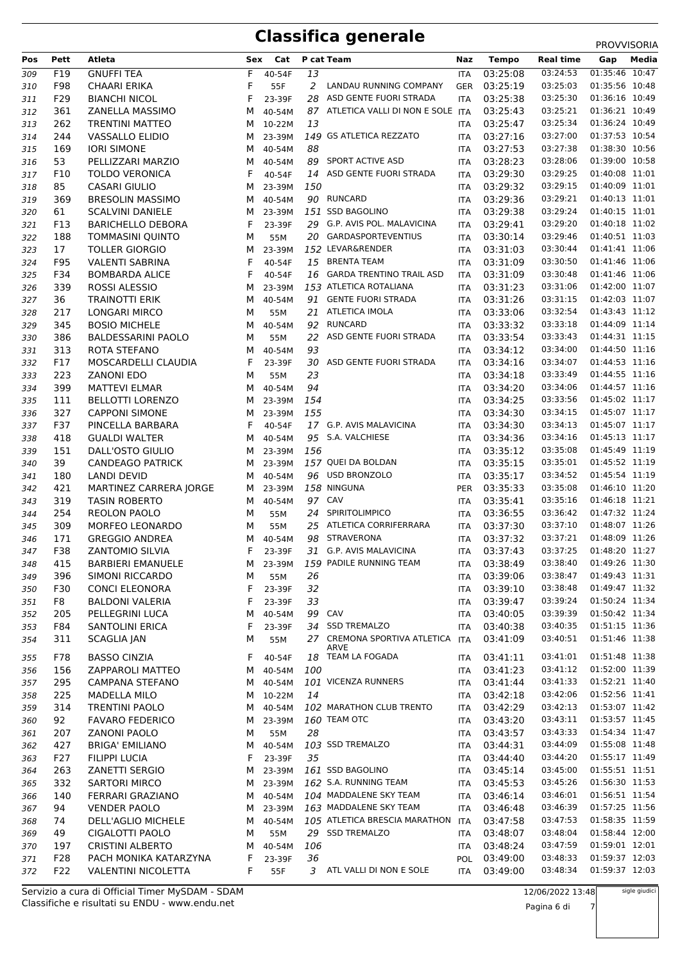## **Classifica generale** PROVISORIA

|     |      |                            |     |        |     |                                     |            |              |                  | <b>PROVVISORIA</b> |
|-----|------|----------------------------|-----|--------|-----|-------------------------------------|------------|--------------|------------------|--------------------|
| Pos | Pett | Atleta                     | Sex | Cat    |     | P cat Team                          | Naz        | <b>Tempo</b> | <b>Real time</b> | Media<br>Gap       |
| 309 | F19  | <b>GNUFFI TEA</b>          | F   | 40-54F | 13  |                                     | ITA        | 03:25:08     | 03:24:53         | 01:35:46 10:47     |
| 310 | F98  | <b>CHAARI ERIKA</b>        | F   | 55F    | 2   | LANDAU RUNNING COMPANY              | GER        | 03:25:19     | 03:25:03         | 01:35:56 10:48     |
| 311 | F29  | <b>BIANCHI NICOL</b>       | F   | 23-39F | 28  | ASD GENTE FUORI STRADA              | <b>ITA</b> | 03:25:38     | 03:25:30         | 01:36:16 10:49     |
| 312 | 361  | ZANELLA MASSIMO            | м   | 40-54M |     | 87 ATLETICA VALLI DI NON E SOLE ITA |            | 03:25:43     | 03:25:21         | 01:36:21 10:49     |
| 313 | 262  | <b>TRENTINI MATTEO</b>     | м   | 10-22M | 13  |                                     | ITA        | 03:25:47     | 03:25:34         | 01:36:24 10:49     |
| 314 | 244  | VASSALLO ELIDIO            | м   | 23-39M |     | 149 GS ATLETICA REZZATO             | ITA        | 03:27:16     | 03:27:00         | 01:37:53 10:54     |
| 315 | 169  | <b>IORI SIMONE</b>         | м   | 40-54M | 88  |                                     | <b>ITA</b> | 03:27:53     | 03:27:38         | 01:38:30 10:56     |
| 316 | 53   | PELLIZZARI MARZIO          | м   | 40-54M | 89  | SPORT ACTIVE ASD                    | ITA        | 03:28:23     | 03:28:06         | 01:39:00 10:58     |
| 317 | F10  | <b>TOLDO VERONICA</b>      | F   | 40-54F |     | 14 ASD GENTE FUORI STRADA           | <b>ITA</b> | 03:29:30     | 03:29:25         | 01:40:08 11:01     |
| 318 | 85   | <b>CASARI GIULIO</b>       | м   | 23-39M | 150 |                                     | ITA        | 03:29:32     | 03:29:15         | 01:40:09 11:01     |
| 319 | 369  | <b>BRESOLIN MASSIMO</b>    | м   | 40-54M |     | 90 RUNCARD                          | ITA        | 03:29:36     | 03:29:21         | 01:40:13 11:01     |
| 320 | 61   | <b>SCALVINI DANIELE</b>    | м   | 23-39M |     | 151 SSD BAGOLINO                    | ITA        | 03:29:38     | 03:29:24         | 01:40:15 11:01     |
| 321 | F13  | <b>BARICHELLO DEBORA</b>   | F   | 23-39F |     | 29 G.P. AVIS POL. MALAVICINA        | ITA        | 03:29:41     | 03:29:20         | 01:40:18 11:02     |
| 322 | 188  | <b>TOMMASINI QUINTO</b>    | м   | 55M    | 20  | <b>GARDASPORTEVENTIUS</b>           | ITA        | 03:30:14     | 03:29:46         | 01:40:51 11:03     |
| 323 | 17   | <b>TOLLER GIORGIO</b>      | м   | 23-39M |     | 152 LEVAR&RENDER                    | ITA        | 03:31:03     | 03:30:44         | 01:41:41 11:06     |
| 324 | F95  | <b>VALENTI SABRINA</b>     | F   | 40-54F | 15  | <b>BRENTA TEAM</b>                  | ITA        | 03:31:09     | 03:30:50         | 01:41:46 11:06     |
| 325 | F34  | <b>BOMBARDA ALICE</b>      | F   | 40-54F | 16  | <b>GARDA TRENTINO TRAIL ASD</b>     | <b>ITA</b> | 03:31:09     | 03:30:48         | 01:41:46 11:06     |
| 326 | 339  | ROSSI ALESSIO              | м   | 23-39M |     | 153 ATLETICA ROTALIANA              | ITA        | 03:31:23     | 03:31:06         | 01:42:00 11:07     |
| 327 | 36   | <b>TRAINOTTI ERIK</b>      | м   | 40-54M |     | 91 GENTE FUORI STRADA               | ITA        | 03:31:26     | 03:31:15         | 01:42:03 11:07     |
| 328 | 217  | <b>LONGARI MIRCO</b>       | м   | 55M    | 21  | ATLETICA IMOLA                      | <b>ITA</b> | 03:33:06     | 03:32:54         | 01:43:43 11:12     |
| 329 | 345  | <b>BOSIO MICHELE</b>       | М   | 40-54M | 92  | <b>RUNCARD</b>                      | ITA        | 03:33:32     | 03:33:18         | 01:44:09 11:14     |
| 330 | 386  | <b>BALDESSARINI PAOLO</b>  | м   | 55M    | 22  | ASD GENTE FUORI STRADA              | ITA        | 03:33:54     | 03:33:43         | 01:44:31 11:15     |
| 331 | 313  | ROTA STEFANO               | м   | 40-54M | 93  |                                     | <b>ITA</b> | 03:34:12     | 03:34:00         | 01:44:50 11:16     |
| 332 | F17  | MOSCARDELLI CLAUDIA        | F   | 23-39F | 30  | ASD GENTE FUORI STRADA              | ITA        | 03:34:16     | 03:34:07         | 01:44:53 11:16     |
| 333 | 223  | <b>ZANONI EDO</b>          | м   | 55M    | 23  |                                     | ITA        | 03:34:18     | 03:33:49         | 01:44:55 11:16     |
| 334 | 399  | <b>MATTEVI ELMAR</b>       | м   | 40-54M | 94  |                                     | <b>ITA</b> | 03:34:20     | 03:34:06         | 01:44:57 11:16     |
|     | 111  | <b>BELLOTTI LORENZO</b>    | м   | 23-39M | 154 |                                     | ITA        | 03:34:25     | 03:33:56         | 01:45:02 11:17     |
| 335 | 327  | <b>CAPPONI SIMONE</b>      | м   |        | 155 |                                     |            | 03:34:30     | 03:34:15         | 01:45:07 11:17     |
| 336 | F37  | PINCELLA BARBARA           | F   | 23-39M |     | 17 G.P. AVIS MALAVICINA             | ITA        | 03:34:30     | 03:34:13         | 01:45:07 11:17     |
| 337 |      |                            |     | 40-54F |     |                                     | <b>ITA</b> |              | 03:34:16         | 01:45:13 11:17     |
| 338 | 418  | <b>GUALDI WALTER</b>       | М   | 40-54M |     | 95 S.A. VALCHIESE                   | ITA        | 03:34:36     |                  |                    |
| 339 | 151  | DALL'OSTO GIULIO           | м   | 23-39M | 156 |                                     | ITA        | 03:35:12     | 03:35:08         | 01:45:49 11:19     |
| 340 | 39   | <b>CANDEAGO PATRICK</b>    | м   | 23-39M |     | 157 QUEI DA BOLDAN                  | <b>ITA</b> | 03:35:15     | 03:35:01         | 01:45:52 11:19     |
| 341 | 180  | <b>LANDI DEVID</b>         | м   | 40-54M |     | 96 USD BRONZOLO                     | <b>ITA</b> | 03:35:17     | 03:34:52         | 01:45:54 11:19     |
| 342 | 421  | MARTINEZ CARRERA JORGE     | м   | 23-39M |     | 158 NINGUNA                         | <b>PER</b> | 03:35:33     | 03:35:08         | 01:46:10 11:20     |
| 343 | 319  | <b>TASIN ROBERTO</b>       | м   | 40-54M |     | 97 CAV                              | ITA        | 03:35:41     | 03:35:16         | 01:46:18 11:21     |
| 344 | 254  | REOLON PAOLO               | М   | 55M    | 24  | SPIRITOLIMPICO                      | ITA        | 03:36:55     | 03:36:42         | 01:47:32 11:24     |
| 345 | 309  | <b>MORFEO LEONARDO</b>     | м   | 55M    | 25  | ATLETICA CORRIFERRARA               | ITA        | 03:37:30     | 03:37:10         | 01:48:07 11:26     |
| 346 | 171  | <b>GREGGIO ANDREA</b>      | м   | 40-54M | 98  | <b>STRAVERONA</b>                   | <b>ITA</b> | 03:37:32     | 03:37:21         | 01:48:09 11:26     |
| 347 | F38  | <b>ZANTOMIO SILVIA</b>     | F   | 23-39F |     | 31 G.P. AVIS MALAVICINA             | <b>ITA</b> | 03:37:43     | 03:37:25         | 01:48:20 11:27     |
| 348 | 415  | <b>BARBIERI EMANUELE</b>   | M   | 23-39M |     | 159 PADILE RUNNING TEAM             | ITA        | 03:38:49     | 03:38:40         | 01:49:26 11:30     |
| 349 | 396  | SIMONI RICCARDO            | м   | 55M    | 26  |                                     | ITA        | 03:39:06     | 03:38:47         | 01:49:43 11:31     |
| 350 | F30  | <b>CONCI ELEONORA</b>      | F   | 23-39F | 32  |                                     | ITA        | 03:39:10     | 03:38:48         | 01:49:47 11:32     |
| 351 | F8   | <b>BALDONI VALERIA</b>     | F   | 23-39F | 33  |                                     | ITA        | 03:39:47     | 03:39:24         | 01:50:24 11:34     |
| 352 | 205  | PELLEGRINI LUCA            | м   | 40-54M | 99  | CAV                                 | ITA        | 03:40:05     | 03:39:39         | 01:50:42 11:34     |
| 353 | F84  | SANTOLINI ERICA            | F   | 23-39F |     | 34 SSD TREMALZO                     | ITA        | 03:40:38     | 03:40:35         | 01:51:15 11:36     |
| 354 | 311  | <b>SCAGLIA JAN</b>         | М   | 55M    |     | 27 CREMONA SPORTIVA ATLETICA ITA    |            | 03:41:09     | 03:40:51         | 01:51:46 11:38     |
| 355 | F78  | <b>BASSO CINZIA</b>        | F   | 40-54F |     | ARVE<br>18 TEAM LA FOGADA           | <b>ITA</b> | 03:41:11     | 03:41:01         | 01:51:48 11:38     |
| 356 | 156  | ZAPPAROLI MATTEO           | м   | 40-54M | 100 |                                     | ITA        | 03:41:23     | 03:41:12         | 01:52:00 11:39     |
|     | 295  | <b>CAMPANA STEFANO</b>     |     | 40-54M |     | 101 VICENZA RUNNERS                 |            | 03:41:44     | 03:41:33         | 01:52:21 11:40     |
| 357 | 225  | <b>MADELLA MILO</b>        | м   | 10-22M | 14  |                                     | ITA        | 03:42:18     | 03:42:06         | 01:52:56 11:41     |
| 358 | 314  | <b>TRENTINI PAOLO</b>      | м   | 40-54M |     | 102 MARATHON CLUB TRENTO            | ITA        | 03:42:29     | 03:42:13         | 01:53:07 11:42     |
| 359 | 92   |                            | м   |        |     | 160 TEAM OTC                        | ITA        |              | 03:43:11         | 01:53:57 11:45     |
| 360 |      | <b>FAVARO FEDERICO</b>     | м   | 23-39M |     |                                     | <b>ITA</b> | 03:43:20     |                  |                    |
| 361 | 207  | <b>ZANONI PAOLO</b>        | М   | 55M    | 28  |                                     | ITA        | 03:43:57     | 03:43:33         | 01:54:34 11:47     |
| 362 | 427  | <b>BRIGA' EMILIANO</b>     | м   | 40-54M |     | 103 SSD TREMALZO                    | ITA        | 03:44:31     | 03:44:09         | 01:55:08 11:48     |
| 363 | F27  | <b>FILIPPI LUCIA</b>       | F   | 23-39F | 35  |                                     | ITA        | 03:44:40     | 03:44:20         | 01:55:17 11:49     |
| 364 | 263  | ZANETTI SERGIO             | м   | 23-39M |     | 161 SSD BAGOLINO                    | ITA        | 03:45:14     | 03:45:00         | 01:55:51 11:51     |
| 365 | 332  | <b>SARTORI MIRCO</b>       | м   | 23-39M |     | 162 S.A. RUNNING TEAM               | ITA        | 03:45:53     | 03:45:26         | 01:56:30 11:53     |
| 366 | 140  | FERRARI GRAZIANO           | м   | 40-54M |     | 104 MADDALENE SKY TEAM              | ITA        | 03:46:14     | 03:46:01         | 01:56:51 11:54     |
| 367 | 94   | <b>VENDER PAOLO</b>        | м   | 23-39M |     | 163 MADDALENE SKY TEAM              | ITA        | 03:46:48     | 03:46:39         | 01:57:25 11:56     |
| 368 | 74   | DELL'AGLIO MICHELE         | м   | 40-54M |     | 105 ATLETICA BRESCIA MARATHON       | ITA        | 03:47:58     | 03:47:53         | 01:58:35 11:59     |
| 369 | 49   | CIGALOTTI PAOLO            | М   | 55M    |     | 29 SSD TREMALZO                     | <b>ITA</b> | 03:48:07     | 03:48:04         | 01:58:44 12:00     |
| 370 | 197  | <b>CRISTINI ALBERTO</b>    | м   | 40-54M | 106 |                                     | ITA        | 03:48:24     | 03:47:59         | 01:59:01 12:01     |
| 371 | F28  | PACH MONIKA KATARZYNA      | F   | 23-39F | 36  |                                     | <b>POL</b> | 03:49:00     | 03:48:33         | 01:59:37 12:03     |
| 372 | F22  | <b>VALENTINI NICOLETTA</b> | F   | 55F    |     | 3 ATL VALLI DI NON E SOLE           | ITA        | 03:49:00     | 03:48:34         | 01:59:37 12:03     |

Classifiche e risultati su ENDU - www.endu.net Servizio a cura di Official Timer MySDAM - SDAM 12/06/2022 13:48

sigle giudici

Pagina 6 di 7